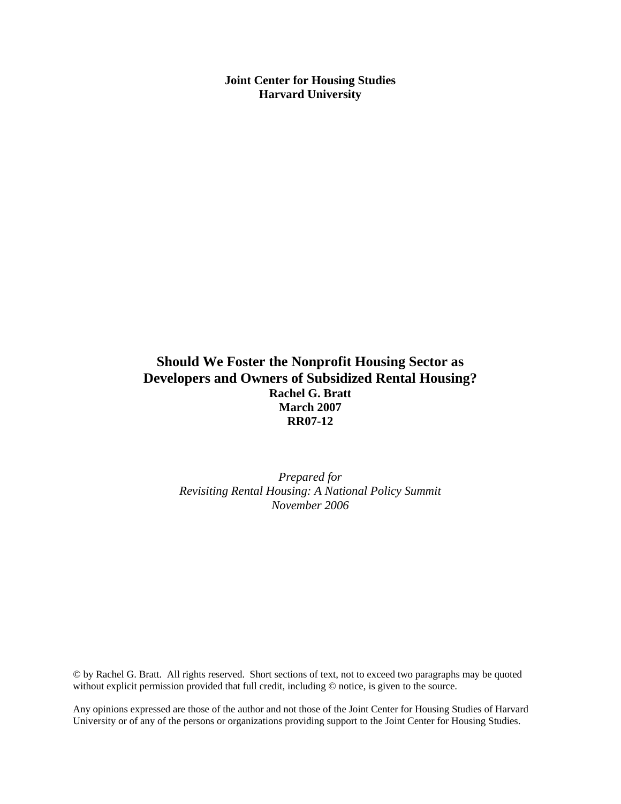**Joint Center for Housing Studies Harvard University** 

# **Should We Foster the Nonprofit Housing Sector as Developers and Owners of Subsidized Rental Housing? Rachel G. Bratt March 2007 RR07-12**

*Prepared for Revisiting Rental Housing: A National Policy Summit November 2006*

© by Rachel G. Bratt. All rights reserved. Short sections of text, not to exceed two paragraphs may be quoted without explicit permission provided that full credit, including © notice, is given to the source.

Any opinions expressed are those of the author and not those of the Joint Center for Housing Studies of Harvard University or of any of the persons or organizations providing support to the Joint Center for Housing Studies.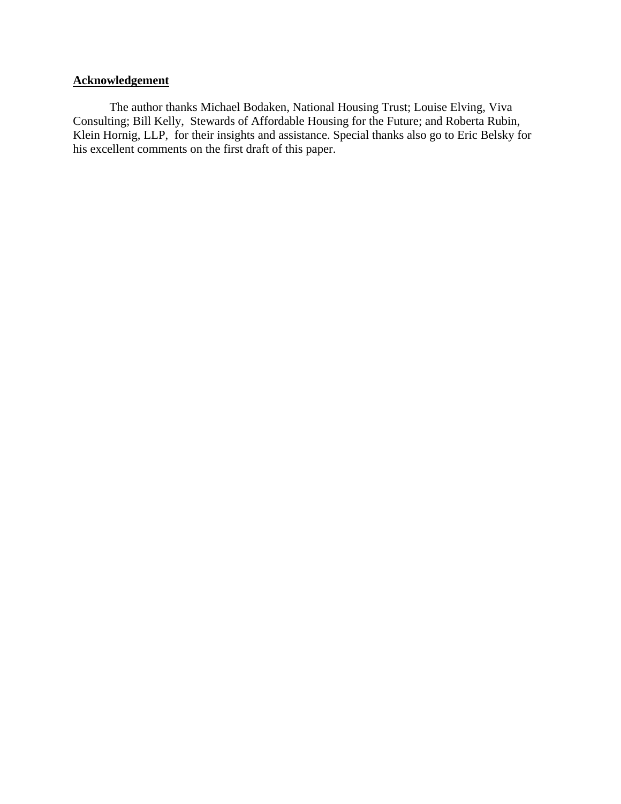# **Acknowledgement**

The author thanks Michael Bodaken, National Housing Trust; Louise Elving, Viva Consulting; Bill Kelly, Stewards of Affordable Housing for the Future; and Roberta Rubin, Klein Hornig, LLP, for their insights and assistance. Special thanks also go to Eric Belsky for his excellent comments on the first draft of this paper.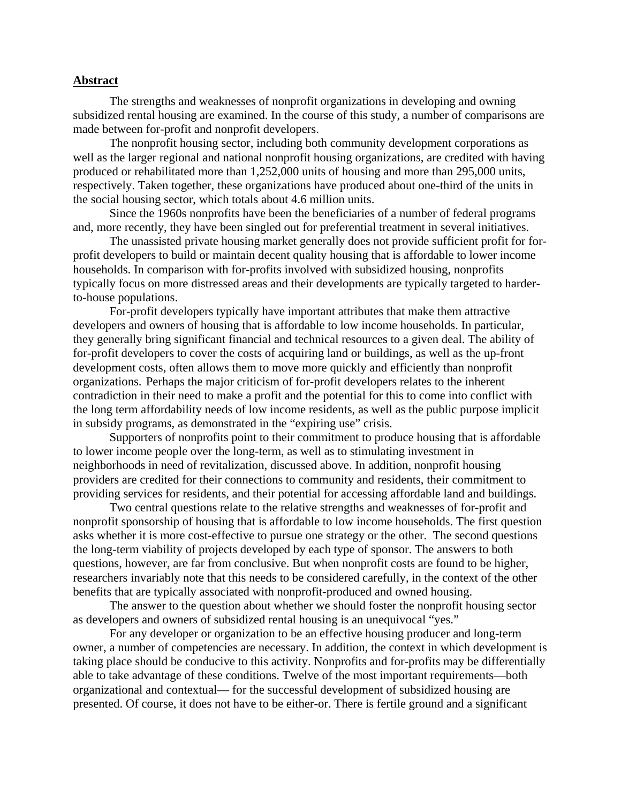#### **Abstract**

The strengths and weaknesses of nonprofit organizations in developing and owning subsidized rental housing are examined. In the course of this study, a number of comparisons are made between for-profit and nonprofit developers.

The nonprofit housing sector, including both community development corporations as well as the larger regional and national nonprofit housing organizations, are credited with having produced or rehabilitated more than 1,252,000 units of housing and more than 295,000 units, respectively. Taken together, these organizations have produced about one-third of the units in the social housing sector, which totals about 4.6 million units.

Since the 1960s nonprofits have been the beneficiaries of a number of federal programs and, more recently, they have been singled out for preferential treatment in several initiatives.

 The unassisted private housing market generally does not provide sufficient profit for forprofit developers to build or maintain decent quality housing that is affordable to lower income households. In comparison with for-profits involved with subsidized housing, nonprofits typically focus on more distressed areas and their developments are typically targeted to harderto-house populations.

For-profit developers typically have important attributes that make them attractive developers and owners of housing that is affordable to low income households. In particular, they generally bring significant financial and technical resources to a given deal. The ability of for-profit developers to cover the costs of acquiring land or buildings, as well as the up-front development costs, often allows them to move more quickly and efficiently than nonprofit organizations. Perhaps the major criticism of for-profit developers relates to the inherent contradiction in their need to make a profit and the potential for this to come into conflict with the long term affordability needs of low income residents, as well as the public purpose implicit in subsidy programs, as demonstrated in the "expiring use" crisis.

Supporters of nonprofits point to their commitment to produce housing that is affordable to lower income people over the long-term, as well as to stimulating investment in neighborhoods in need of revitalization, discussed above. In addition, nonprofit housing providers are credited for their connections to community and residents, their commitment to providing services for residents, and their potential for accessing affordable land and buildings.

Two central questions relate to the relative strengths and weaknesses of for-profit and nonprofit sponsorship of housing that is affordable to low income households. The first question asks whether it is more cost-effective to pursue one strategy or the other. The second questions the long-term viability of projects developed by each type of sponsor. The answers to both questions, however, are far from conclusive. But when nonprofit costs are found to be higher, researchers invariably note that this needs to be considered carefully, in the context of the other benefits that are typically associated with nonprofit-produced and owned housing.

The answer to the question about whether we should foster the nonprofit housing sector as developers and owners of subsidized rental housing is an unequivocal "yes."

For any developer or organization to be an effective housing producer and long-term owner, a number of competencies are necessary. In addition, the context in which development is taking place should be conducive to this activity. Nonprofits and for-profits may be differentially able to take advantage of these conditions. Twelve of the most important requirements—both organizational and contextual— for the successful development of subsidized housing are presented. Of course, it does not have to be either-or. There is fertile ground and a significant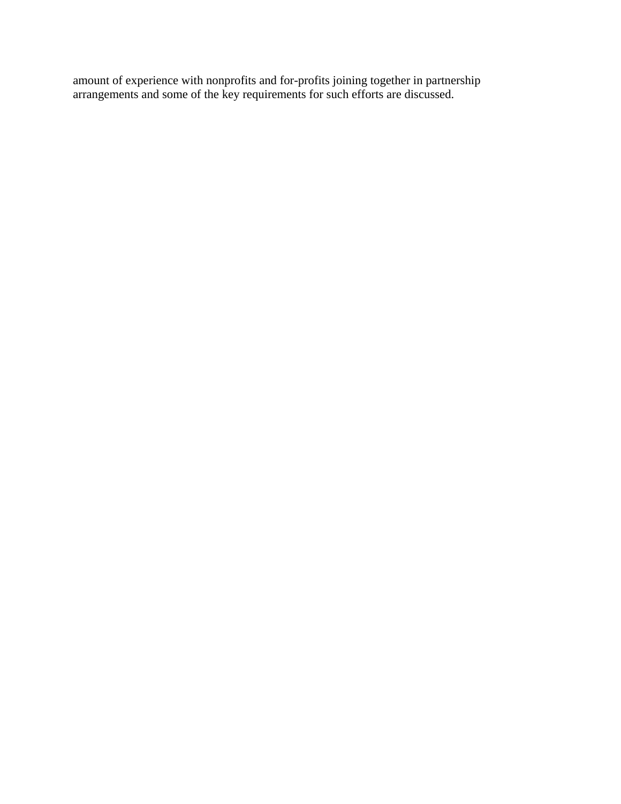amount of experience with nonprofits and for-profits joining together in partnership arrangements and some of the key requirements for such efforts are discussed.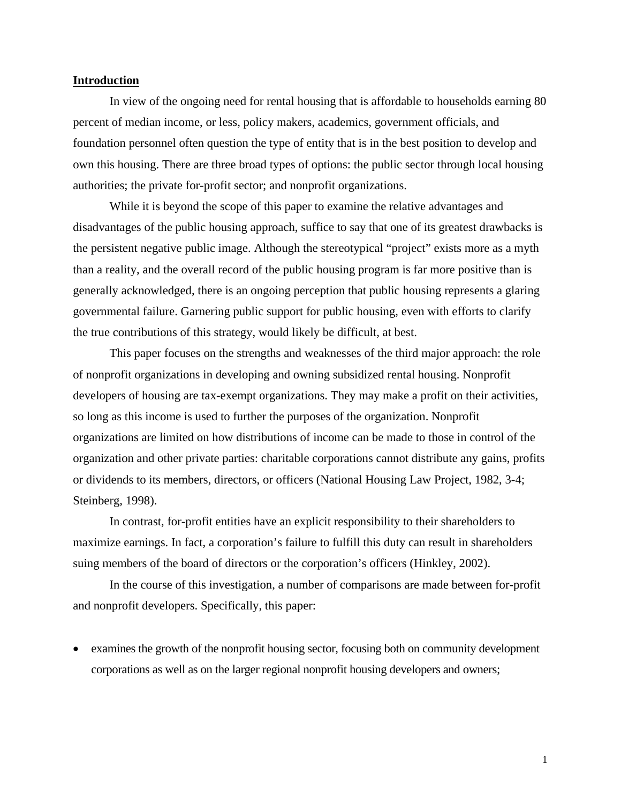#### **Introduction**

In view of the ongoing need for rental housing that is affordable to households earning 80 percent of median income, or less, policy makers, academics, government officials, and foundation personnel often question the type of entity that is in the best position to develop and own this housing. There are three broad types of options: the public sector through local housing authorities; the private for-profit sector; and nonprofit organizations.

While it is beyond the scope of this paper to examine the relative advantages and disadvantages of the public housing approach, suffice to say that one of its greatest drawbacks is the persistent negative public image. Although the stereotypical "project" exists more as a myth than a reality, and the overall record of the public housing program is far more positive than is generally acknowledged, there is an ongoing perception that public housing represents a glaring governmental failure. Garnering public support for public housing, even with efforts to clarify the true contributions of this strategy, would likely be difficult, at best.

This paper focuses on the strengths and weaknesses of the third major approach: the role of nonprofit organizations in developing and owning subsidized rental housing. Nonprofit developers of housing are tax-exempt organizations. They may make a profit on their activities, so long as this income is used to further the purposes of the organization. Nonprofit organizations are limited on how distributions of income can be made to those in control of the organization and other private parties: charitable corporations cannot distribute any gains, profits or dividends to its members, directors, or officers (National Housing Law Project, 1982, 3-4; Steinberg, 1998).

In contrast, for-profit entities have an explicit responsibility to their shareholders to maximize earnings. In fact, a corporation's failure to fulfill this duty can result in shareholders suing members of the board of directors or the corporation's officers (Hinkley, 2002).

In the course of this investigation, a number of comparisons are made between for-profit and nonprofit developers. Specifically, this paper:

• examines the growth of the nonprofit housing sector, focusing both on community development corporations as well as on the larger regional nonprofit housing developers and owners;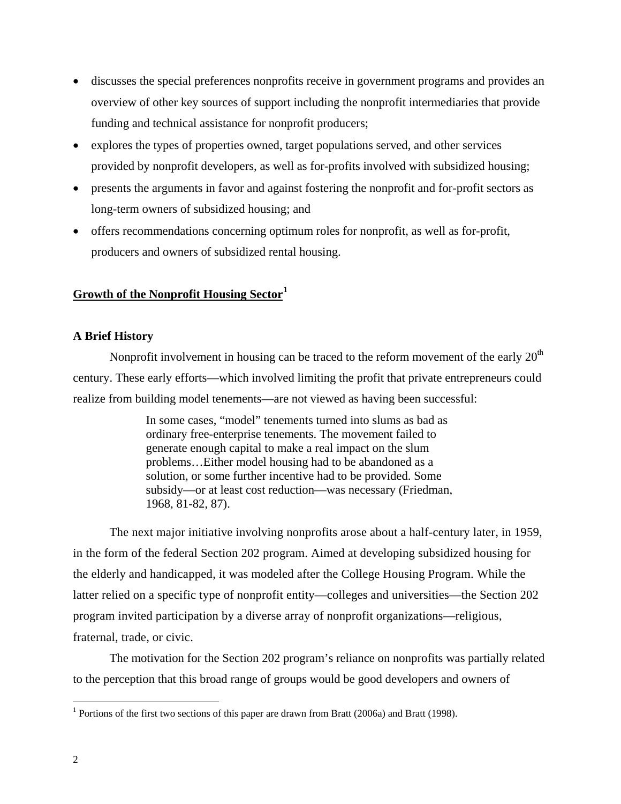- discusses the special preferences nonprofits receive in government programs and provides an overview of other key sources of support including the nonprofit intermediaries that provide funding and technical assistance for nonprofit producers;
- explores the types of properties owned, target populations served, and other services provided by nonprofit developers, as well as for-profits involved with subsidized housing;
- presents the arguments in favor and against fostering the nonprofit and for-profit sectors as long-term owners of subsidized housing; and
- offers recommendations concerning optimum roles for nonprofit, as well as for-profit, producers and owners of subsidized rental housing.

## **Growth of the Nonprofit Housing Sector[1](#page-7-0)**

## **A Brief History**

Nonprofit involvement in housing can be traced to the reform movement of the early  $20<sup>th</sup>$ century. These early efforts—which involved limiting the profit that private entrepreneurs could realize from building model tenements—are not viewed as having been successful:

> In some cases, "model" tenements turned into slums as bad as ordinary free-enterprise tenements. The movement failed to generate enough capital to make a real impact on the slum problems…Either model housing had to be abandoned as a solution, or some further incentive had to be provided. Some subsidy—or at least cost reduction—was necessary (Friedman, 1968, 81-82, 87).

The next major initiative involving nonprofits arose about a half-century later, in 1959, in the form of the federal Section 202 program. Aimed at developing subsidized housing for the elderly and handicapped, it was modeled after the College Housing Program. While the latter relied on a specific type of nonprofit entity—colleges and universities—the Section 202 program invited participation by a diverse array of nonprofit organizations—religious, fraternal, trade, or civic.

The motivation for the Section 202 program's reliance on nonprofits was partially related to the perception that this broad range of groups would be good developers and owners of

<span id="page-7-0"></span><sup>&</sup>lt;sup>1</sup> Portions of the first two sections of this paper are drawn from Bratt (2006a) and Bratt (1998).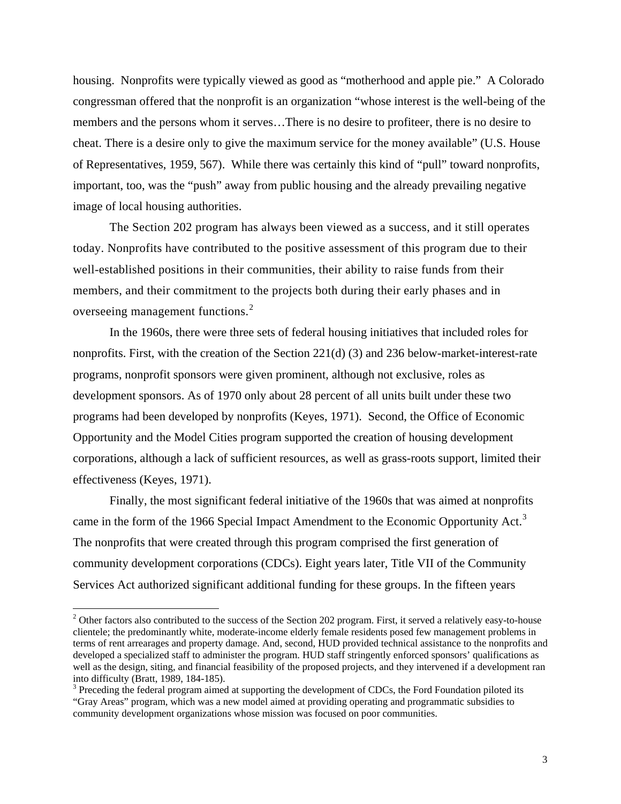housing. Nonprofits were typically viewed as good as "motherhood and apple pie." A Colorado congressman offered that the nonprofit is an organization "whose interest is the well-being of the members and the persons whom it serves…There is no desire to profiteer, there is no desire to cheat. There is a desire only to give the maximum service for the money available" (U.S. House of Representatives, 1959, 567). While there was certainly this kind of "pull" toward nonprofits, important, too, was the "push" away from public housing and the already prevailing negative image of local housing authorities.

The Section 202 program has always been viewed as a success, and it still operates today. Nonprofits have contributed to the positive assessment of this program due to their well-established positions in their communities, their ability to raise funds from their members, and their commitment to the projects both during their early phases and in overseeing management functions. $2$ 

In the 1960s, there were three sets of federal housing initiatives that included roles for nonprofits. First, with the creation of the Section 221(d) (3) and 236 below-market-interest-rate programs, nonprofit sponsors were given prominent, although not exclusive, roles as development sponsors. As of 1970 only about 28 percent of all units built under these two programs had been developed by nonprofits (Keyes, 1971). Second, the Office of Economic Opportunity and the Model Cities program supported the creation of housing development corporations, although a lack of sufficient resources, as well as grass-roots support, limited their effectiveness (Keyes, 1971).

Finally, the most significant federal initiative of the 1960s that was aimed at nonprofits came in the form of the 1966 Special Impact Amendment to the Economic Opportunity Act.<sup>[3](#page-8-1)</sup> The nonprofits that were created through this program comprised the first generation of community development corporations (CDCs). Eight years later, Title VII of the Community Services Act authorized significant additional funding for these groups. In the fifteen years

<span id="page-8-0"></span> $2^2$  Other factors also contributed to the success of the Section 202 program. First, it served a relatively easy-to-house clientele; the predominantly white, moderate-income elderly female residents posed few management problems in terms of rent arrearages and property damage. And, second, HUD provided technical assistance to the nonprofits and developed a specialized staff to administer the program. HUD staff stringently enforced sponsors' qualifications as well as the design, siting, and financial feasibility of the proposed projects, and they intervened if a development ran into difficulty (Bratt, 1989, 184-185).

<span id="page-8-1"></span> $3$  Preceding the federal program aimed at supporting the development of CDCs, the Ford Foundation piloted its "Gray Areas" program, which was a new model aimed at providing operating and programmatic subsidies to community development organizations whose mission was focused on poor communities.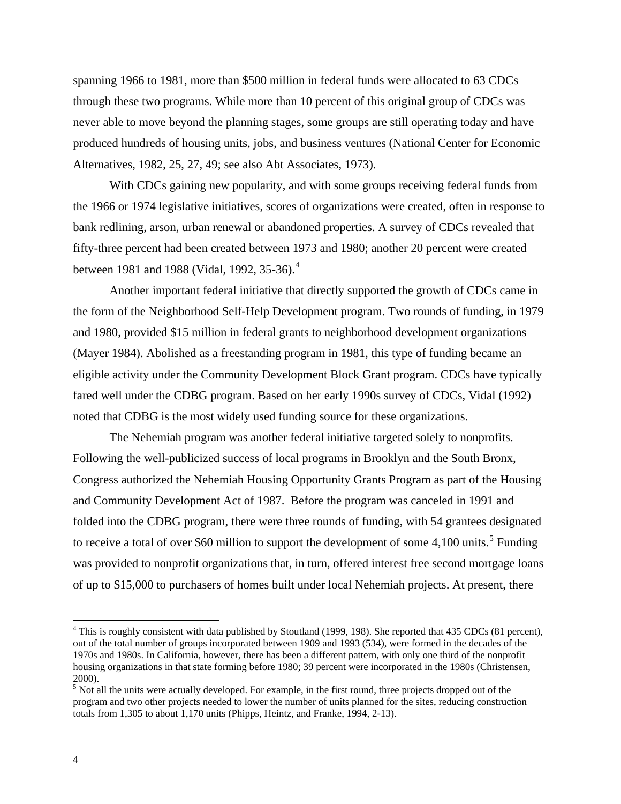spanning 1966 to 1981, more than \$500 million in federal funds were allocated to 63 CDCs through these two programs. While more than 10 percent of this original group of CDCs was never able to move beyond the planning stages, some groups are still operating today and have produced hundreds of housing units, jobs, and business ventures (National Center for Economic Alternatives, 1982, 25, 27, 49; see also Abt Associates, 1973).

With CDCs gaining new popularity, and with some groups receiving federal funds from the 1966 or 1974 legislative initiatives, scores of organizations were created, often in response to bank redlining, arson, urban renewal or abandoned properties. A survey of CDCs revealed that fifty-three percent had been created between 1973 and 1980; another 20 percent were created between 1981 and 1988 (Vidal, 1992, 35-36).<sup>[4](#page-9-0)</sup>

Another important federal initiative that directly supported the growth of CDCs came in the form of the Neighborhood Self-Help Development program. Two rounds of funding, in 1979 and 1980, provided \$15 million in federal grants to neighborhood development organizations (Mayer 1984). Abolished as a freestanding program in 1981, this type of funding became an eligible activity under the Community Development Block Grant program. CDCs have typically fared well under the CDBG program. Based on her early 1990s survey of CDCs, Vidal (1992) noted that CDBG is the most widely used funding source for these organizations.

The Nehemiah program was another federal initiative targeted solely to nonprofits. Following the well-publicized success of local programs in Brooklyn and the South Bronx, Congress authorized the Nehemiah Housing Opportunity Grants Program as part of the Housing and Community Development Act of 1987. Before the program was canceled in 1991 and folded into the CDBG program, there were three rounds of funding, with 54 grantees designated to receive a total of over \$60 million to support the development of some  $4,100$  units.<sup>[5](#page-9-1)</sup> Funding was provided to nonprofit organizations that, in turn, offered interest free second mortgage loans of up to \$15,000 to purchasers of homes built under local Nehemiah projects. At present, there

<span id="page-9-0"></span> $4$  This is roughly consistent with data published by Stoutland (1999, 198). She reported that 435 CDCs (81 percent), out of the total number of groups incorporated between 1909 and 1993 (534), were formed in the decades of the 1970s and 1980s. In California, however, there has been a different pattern, with only one third of the nonprofit housing organizations in that state forming before 1980; 39 percent were incorporated in the 1980s (Christensen, 2000).

<span id="page-9-1"></span> $<sup>5</sup>$  Not all the units were actually developed. For example, in the first round, three projects dropped out of the</sup> program and two other projects needed to lower the number of units planned for the sites, reducing construction totals from 1,305 to about 1,170 units (Phipps, Heintz, and Franke, 1994, 2-13).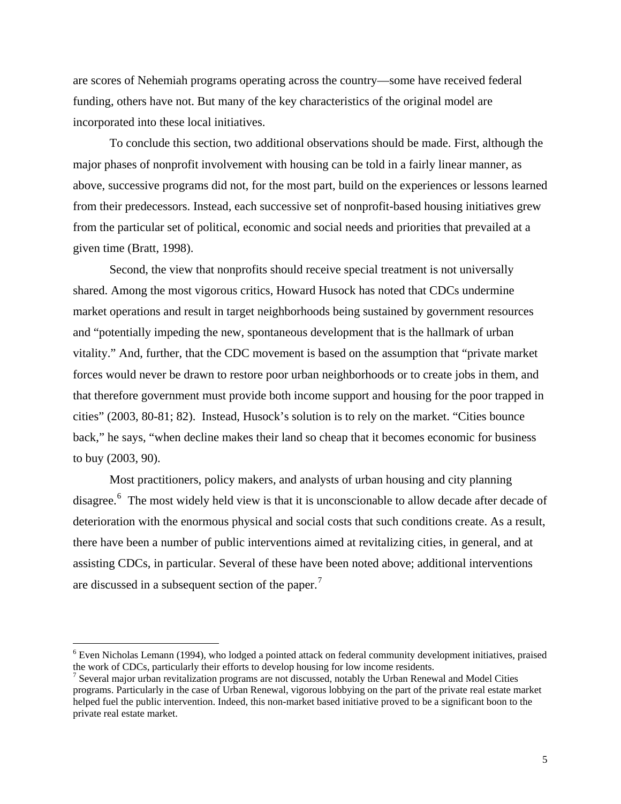are scores of Nehemiah programs operating across the country—some have received federal funding, others have not. But many of the key characteristics of the original model are incorporated into these local initiatives.

To conclude this section, two additional observations should be made. First, although the major phases of nonprofit involvement with housing can be told in a fairly linear manner, as above, successive programs did not, for the most part, build on the experiences or lessons learned from their predecessors. Instead, each successive set of nonprofit-based housing initiatives grew from the particular set of political, economic and social needs and priorities that prevailed at a given time (Bratt, 1998).

Second, the view that nonprofits should receive special treatment is not universally shared. Among the most vigorous critics, Howard Husock has noted that CDCs undermine market operations and result in target neighborhoods being sustained by government resources and "potentially impeding the new, spontaneous development that is the hallmark of urban vitality." And, further, that the CDC movement is based on the assumption that "private market forces would never be drawn to restore poor urban neighborhoods or to create jobs in them, and that therefore government must provide both income support and housing for the poor trapped in cities" (2003, 80-81; 82). Instead, Husock's solution is to rely on the market. "Cities bounce back," he says, "when decline makes their land so cheap that it becomes economic for business to buy (2003, 90).

Most practitioners, policy makers, and analysts of urban housing and city planning disagree.<sup>[6](#page-10-0)</sup> The most widely held view is that it is unconscionable to allow decade after decade of deterioration with the enormous physical and social costs that such conditions create. As a result, there have been a number of public interventions aimed at revitalizing cities, in general, and at assisting CDCs, in particular. Several of these have been noted above; additional interventions are discussed in a subsequent section of the paper.<sup>[7](#page-10-1)</sup>

<span id="page-10-0"></span> $6$  Even Nicholas Lemann (1994), who lodged a pointed attack on federal community development initiatives, praised the work of CDCs, particularly their efforts to develop housing for low income residents. 7

<span id="page-10-1"></span><sup>&</sup>lt;sup>7</sup> Several major urban revitalization programs are not discussed, notably the Urban Renewal and Model Cities programs. Particularly in the case of Urban Renewal, vigorous lobbying on the part of the private real estate market helped fuel the public intervention. Indeed, this non-market based initiative proved to be a significant boon to the private real estate market.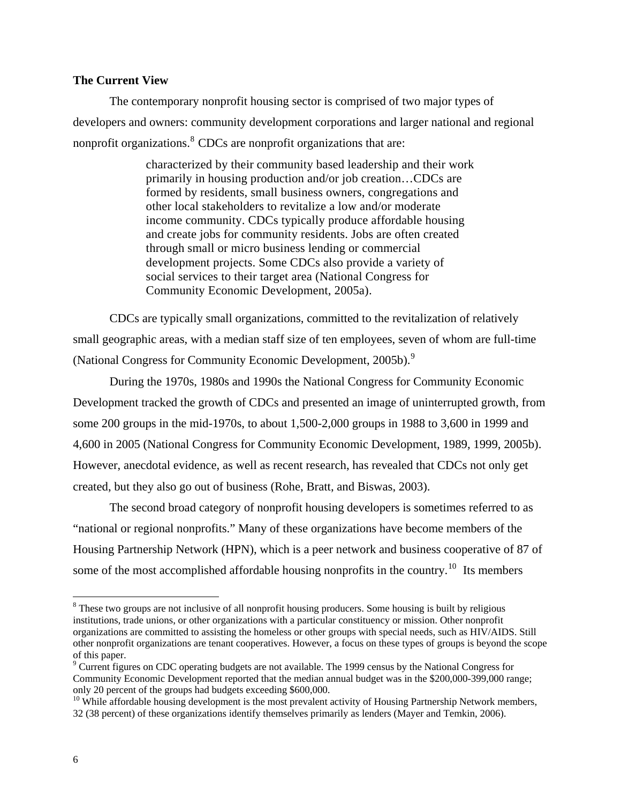#### **The Current View**

The contemporary nonprofit housing sector is comprised of two major types of developers and owners: community development corporations and larger national and regional nonprofit organizations.<sup>[8](#page-11-0)</sup> CDCs are nonprofit organizations that are:

> characterized by their community based leadership and their work primarily in housing production and/or job creation…CDCs are formed by residents, small business owners, congregations and other local stakeholders to revitalize a low and/or moderate income community. CDCs typically produce affordable housing and create jobs for community residents. Jobs are often created through small or micro business lending or commercial development projects. Some CDCs also provide a variety of social services to their target area (National Congress for Community Economic Development, 2005a).

CDCs are typically small organizations, committed to the revitalization of relatively small geographic areas, with a median staff size of ten employees, seven of whom are full-time (National Congress for Community Economic Development, 2005b).<sup>[9](#page-11-1)</sup>

During the 1970s, 1980s and 1990s the National Congress for Community Economic Development tracked the growth of CDCs and presented an image of uninterrupted growth, from some 200 groups in the mid-1970s, to about 1,500-2,000 groups in 1988 to 3,600 in 1999 and 4,600 in 2005 (National Congress for Community Economic Development, 1989, 1999, 2005b). However, anecdotal evidence, as well as recent research, has revealed that CDCs not only get created, but they also go out of business (Rohe, Bratt, and Biswas, 2003).

The second broad category of nonprofit housing developers is sometimes referred to as "national or regional nonprofits." Many of these organizations have become members of the Housing Partnership Network (HPN), which is a peer network and business cooperative of 87 of some of the most accomplished affordable housing nonprofits in the country.<sup>[10](#page-11-2)</sup> Its members

<span id="page-11-0"></span><sup>&</sup>lt;sup>8</sup> These two groups are not inclusive of all nonprofit housing producers. Some housing is built by religious institutions, trade unions, or other organizations with a particular constituency or mission. Other nonprofit organizations are committed to assisting the homeless or other groups with special needs, such as HIV/AIDS. Still other nonprofit organizations are tenant cooperatives. However, a focus on these types of groups is beyond the scope of this paper.

<span id="page-11-1"></span><sup>&</sup>lt;sup>9</sup> Current figures on CDC operating budgets are not available. The 1999 census by the National Congress for Community Economic Development reported that the median annual budget was in the \$200,000-399,000 range; only 20 percent of the groups had budgets exceeding \$600,000.<br><sup>10</sup> While affordable housing development is the most prevalent activity of Housing Partnership Network members,

<span id="page-11-2"></span><sup>32 (38</sup> percent) of these organizations identify themselves primarily as lenders (Mayer and Temkin, 2006).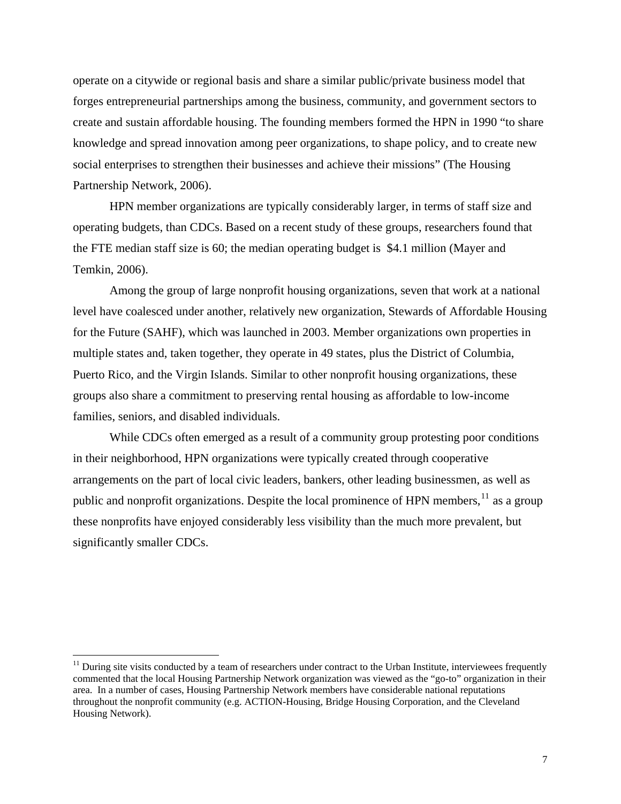operate on a citywide or regional basis and share a similar public/private business model that forges entrepreneurial partnerships among the business, community, and government sectors to create and sustain affordable housing. The founding members formed the HPN in 1990 "to share knowledge and spread innovation among peer organizations, to shape policy, and to create new social enterprises to strengthen their businesses and achieve their missions" (The Housing Partnership Network, 2006).

HPN member organizations are typically considerably larger, in terms of staff size and operating budgets, than CDCs. Based on a recent study of these groups, researchers found that the FTE median staff size is 60; the median operating budget is \$4.1 million (Mayer and Temkin, 2006).

Among the group of large nonprofit housing organizations, seven that work at a national level have coalesced under another, relatively new organization, Stewards of Affordable Housing for the Future (SAHF), which was launched in 2003. Member organizations own properties in multiple states and, taken together, they operate in 49 states, plus the District of Columbia, Puerto Rico, and the Virgin Islands. Similar to other nonprofit housing organizations, these groups also share a commitment to preserving rental housing as affordable to low-income families, seniors, and disabled individuals.

While CDCs often emerged as a result of a community group protesting poor conditions in their neighborhood, HPN organizations were typically created through cooperative arrangements on the part of local civic leaders, bankers, other leading businessmen, as well as public and nonprofit organizations. Despite the local prominence of HPN members,  $11$  as a group these nonprofits have enjoyed considerably less visibility than the much more prevalent, but significantly smaller CDCs.

<span id="page-12-0"></span> $<sup>11</sup>$  During site visits conducted by a team of researchers under contract to the Urban Institute, interviewees frequently</sup> commented that the local Housing Partnership Network organization was viewed as the "go-to" organization in their area. In a number of cases, Housing Partnership Network members have considerable national reputations throughout the nonprofit community (e.g. ACTION-Housing, Bridge Housing Corporation, and the Cleveland Housing Network).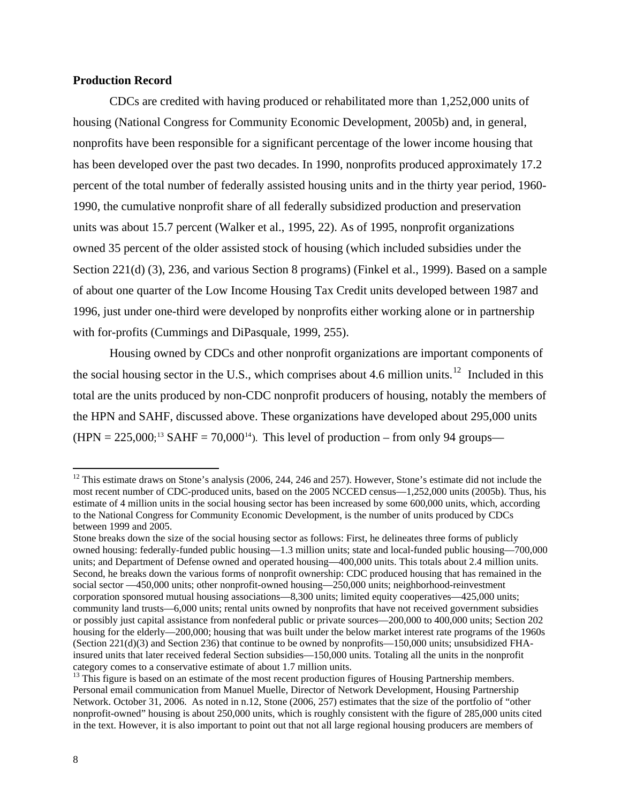#### **Production Record**

CDCs are credited with having produced or rehabilitated more than 1,252,000 units of housing (National Congress for Community Economic Development, 2005b) and, in general, nonprofits have been responsible for a significant percentage of the lower income housing that has been developed over the past two decades. In 1990, nonprofits produced approximately 17.2 percent of the total number of federally assisted housing units and in the thirty year period, 1960- 1990, the cumulative nonprofit share of all federally subsidized production and preservation units was about 15.7 percent (Walker et al., 1995, 22). As of 1995, nonprofit organizations owned 35 percent of the older assisted stock of housing (which included subsidies under the Section 221(d) (3), 236, and various Section 8 programs) (Finkel et al., 1999). Based on a sample of about one quarter of the Low Income Housing Tax Credit units developed between 1987 and 1996, just under one-third were developed by nonprofits either working alone or in partnership with for-profits (Cummings and DiPasquale, 1999, 255).

Housing owned by CDCs and other nonprofit organizations are important components of the social housing sector in the U.S., which comprises about 4.6 million units.<sup>[12](#page-13-0)</sup> Included in this total are the units produced by non-CDC nonprofit producers of housing, notably the members of the HPN and SAHF, discussed above. These organizations have developed about 295,000 units  $(HPN = 225,000; ^{13}$  $(HPN = 225,000; ^{13}$  $(HPN = 225,000; ^{13}$  SAHF = 70,000<sup>14</sup>). This level of production – from only 94 groups—

<span id="page-13-0"></span> $12$  This estimate draws on Stone's analysis (2006, 244, 246 and 257). However, Stone's estimate did not include the most recent number of CDC-produced units, based on the 2005 NCCED census—1,252,000 units (2005b). Thus, his estimate of 4 million units in the social housing sector has been increased by some 600,000 units, which, according to the National Congress for Community Economic Development, is the number of units produced by CDCs between 1999 and 2005.

Stone breaks down the size of the social housing sector as follows: First, he delineates three forms of publicly owned housing: federally-funded public housing—1.3 million units; state and local-funded public housing—700,000 units; and Department of Defense owned and operated housing—400,000 units. This totals about 2.4 million units. Second, he breaks down the various forms of nonprofit ownership: CDC produced housing that has remained in the social sector —450,000 units; other nonprofit-owned housing—250,000 units; neighborhood-reinvestment corporation sponsored mutual housing associations—8,300 units; limited equity cooperatives—425,000 units; community land trusts—6,000 units; rental units owned by nonprofits that have not received government subsidies or possibly just capital assistance from nonfederal public or private sources—200,000 to 400,000 units; Section 202 housing for the elderly—200,000; housing that was built under the below market interest rate programs of the 1960s (Section 221(d)(3) and Section 236) that continue to be owned by nonprofits—150,000 units; unsubsidized FHAinsured units that later received federal Section subsidies—150,000 units. Totaling all the units in the nonprofit category comes to a conservative estimate of about 1.7 million units.

<span id="page-13-2"></span><span id="page-13-1"></span><sup>&</sup>lt;sup>13</sup> This figure is based on an estimate of the most recent production figures of Housing Partnership members. Personal email communication from Manuel Muelle, Director of Network Development, Housing Partnership Network. October 31, 2006. As noted in n.12, Stone (2006, 257) estimates that the size of the portfolio of "other nonprofit-owned" housing is about 250,000 units, which is roughly consistent with the figure of 285,000 units cited in the text. However, it is also important to point out that not all large regional housing producers are members of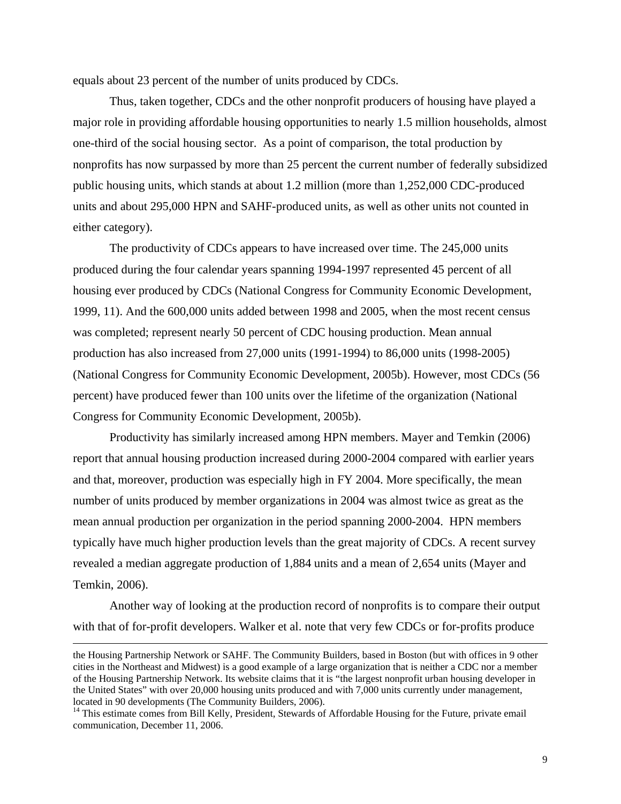equals about 23 percent of the number of units produced by CDCs.

Thus, taken together, CDCs and the other nonprofit producers of housing have played a major role in providing affordable housing opportunities to nearly 1.5 million households, almost one-third of the social housing sector. As a point of comparison, the total production by nonprofits has now surpassed by more than 25 percent the current number of federally subsidized public housing units, which stands at about 1.2 million (more than 1,252,000 CDC-produced units and about 295,000 HPN and SAHF-produced units, as well as other units not counted in either category).

The productivity of CDCs appears to have increased over time. The 245,000 units produced during the four calendar years spanning 1994-1997 represented 45 percent of all housing ever produced by CDCs (National Congress for Community Economic Development, 1999, 11). And the 600,000 units added between 1998 and 2005, when the most recent census was completed; represent nearly 50 percent of CDC housing production. Mean annual production has also increased from 27,000 units (1991-1994) to 86,000 units (1998-2005) (National Congress for Community Economic Development, 2005b). However, most CDCs (56 percent) have produced fewer than 100 units over the lifetime of the organization (National Congress for Community Economic Development, 2005b).

Productivity has similarly increased among HPN members. Mayer and Temkin (2006) report that annual housing production increased during 2000-2004 compared with earlier years and that, moreover, production was especially high in FY 2004. More specifically, the mean number of units produced by member organizations in 2004 was almost twice as great as the mean annual production per organization in the period spanning 2000-2004. HPN members typically have much higher production levels than the great majority of CDCs. A recent survey revealed a median aggregate production of 1,884 units and a mean of 2,654 units (Mayer and Temkin, 2006).

Another way of looking at the production record of nonprofits is to compare their output with that of for-profit developers. Walker et al. note that very few CDCs or for-profits produce

the Housing Partnership Network or SAHF. The Community Builders, based in Boston (but with offices in 9 other cities in the Northeast and Midwest) is a good example of a large organization that is neither a CDC nor a member of the Housing Partnership Network. Its website claims that it is "the largest nonprofit urban housing developer in the United States" with over 20,000 housing units produced and with 7,000 units currently under management, located in 90 developments (The Community Builders, 2006).

<sup>&</sup>lt;sup>14</sup> This estimate comes from Bill Kelly, President, Stewards of Affordable Housing for the Future, private email communication, December 11, 2006.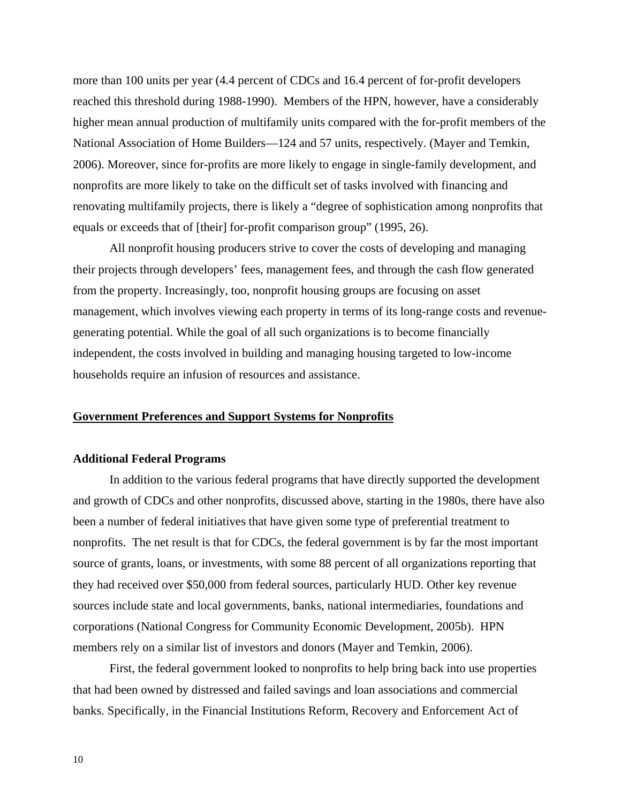more than 100 units per year (4.4 percent of CDCs and 16.4 percent of for-profit developers reached this threshold during 1988-1990). Members of the HPN, however, have a considerably higher mean annual production of multifamily units compared with the for-profit members of the National Association of Home Builders—124 and 57 units, respectively. (Mayer and Temkin, 2006). Moreover, since for-profits are more likely to engage in single-family development, and nonprofits are more likely to take on the difficult set of tasks involved with financing and renovating multifamily projects, there is likely a "degree of sophistication among nonprofits that equals or exceeds that of [their] for-profit comparison group" (1995, 26).

All nonprofit housing producers strive to cover the costs of developing and managing their projects through developers' fees, management fees, and through the cash flow generated from the property. Increasingly, too, nonprofit housing groups are focusing on asset management, which involves viewing each property in terms of its long-range costs and revenuegenerating potential. While the goal of all such organizations is to become financially independent, the costs involved in building and managing housing targeted to low-income households require an infusion of resources and assistance.

#### **Government Preferences and Support Systems for Nonprofits**

#### **Additional Federal Programs**

In addition to the various federal programs that have directly supported the development and growth of CDCs and other nonprofits, discussed above, starting in the 1980s, there have also been a number of federal initiatives that have given some type of preferential treatment to nonprofits. The net result is that for CDCs, the federal government is by far the most important source of grants, loans, or investments, with some 88 percent of all organizations reporting that they had received over \$50,000 from federal sources, particularly HUD. Other key revenue sources include state and local governments, banks, national intermediaries, foundations and corporations (National Congress for Community Economic Development, 2005b). HPN members rely on a similar list of investors and donors (Mayer and Temkin, 2006).

First, the federal government looked to nonprofits to help bring back into use properties that had been owned by distressed and failed savings and loan associations and commercial banks. Specifically, in the Financial Institutions Reform, Recovery and Enforcement Act of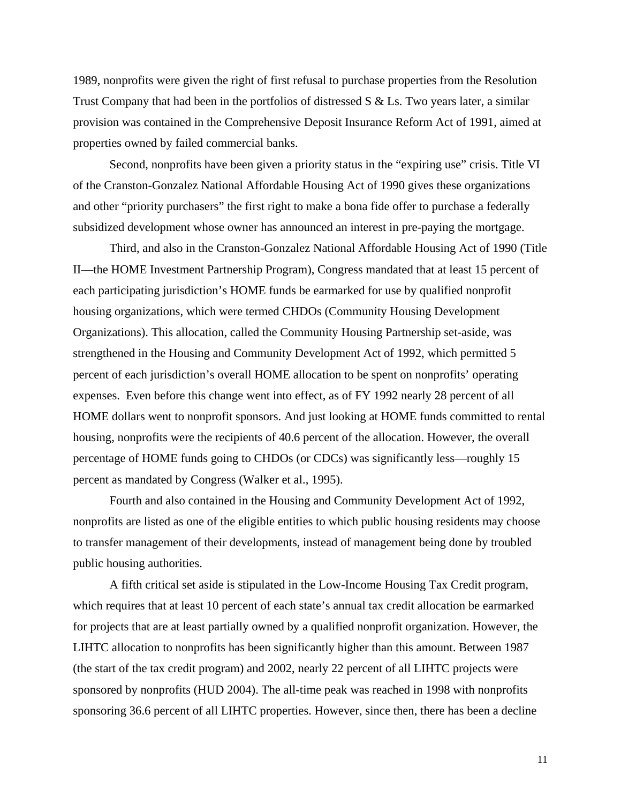1989, nonprofits were given the right of first refusal to purchase properties from the Resolution Trust Company that had been in the portfolios of distressed S & Ls. Two years later, a similar provision was contained in the Comprehensive Deposit Insurance Reform Act of 1991, aimed at properties owned by failed commercial banks.

Second, nonprofits have been given a priority status in the "expiring use" crisis. Title VI of the Cranston-Gonzalez National Affordable Housing Act of 1990 gives these organizations and other "priority purchasers" the first right to make a bona fide offer to purchase a federally subsidized development whose owner has announced an interest in pre-paying the mortgage.

Third, and also in the Cranston-Gonzalez National Affordable Housing Act of 1990 (Title II—the HOME Investment Partnership Program), Congress mandated that at least 15 percent of each participating jurisdiction's HOME funds be earmarked for use by qualified nonprofit housing organizations, which were termed CHDOs (Community Housing Development Organizations). This allocation, called the Community Housing Partnership set-aside, was strengthened in the Housing and Community Development Act of 1992, which permitted 5 percent of each jurisdiction's overall HOME allocation to be spent on nonprofits' operating expenses. Even before this change went into effect, as of FY 1992 nearly 28 percent of all HOME dollars went to nonprofit sponsors. And just looking at HOME funds committed to rental housing, nonprofits were the recipients of 40.6 percent of the allocation. However, the overall percentage of HOME funds going to CHDOs (or CDCs) was significantly less—roughly 15 percent as mandated by Congress (Walker et al., 1995).

Fourth and also contained in the Housing and Community Development Act of 1992, nonprofits are listed as one of the eligible entities to which public housing residents may choose to transfer management of their developments, instead of management being done by troubled public housing authorities.

A fifth critical set aside is stipulated in the Low-Income Housing Tax Credit program, which requires that at least 10 percent of each state's annual tax credit allocation be earmarked for projects that are at least partially owned by a qualified nonprofit organization. However, the LIHTC allocation to nonprofits has been significantly higher than this amount. Between 1987 (the start of the tax credit program) and 2002, nearly 22 percent of all LIHTC projects were sponsored by nonprofits (HUD 2004). The all-time peak was reached in 1998 with nonprofits sponsoring 36.6 percent of all LIHTC properties. However, since then, there has been a decline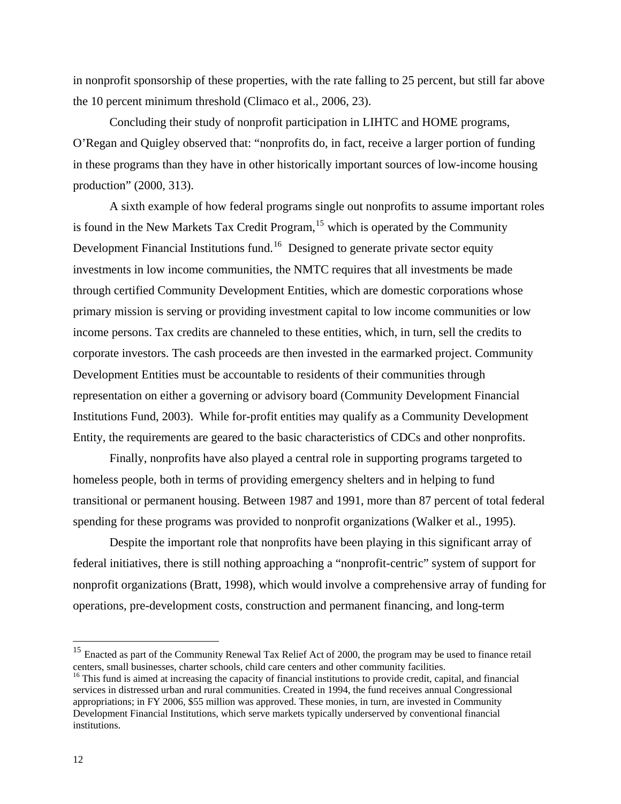in nonprofit sponsorship of these properties, with the rate falling to 25 percent, but still far above the 10 percent minimum threshold (Climaco et al., 2006, 23).

Concluding their study of nonprofit participation in LIHTC and HOME programs, O'Regan and Quigley observed that: "nonprofits do, in fact, receive a larger portion of funding in these programs than they have in other historically important sources of low-income housing production" (2000, 313).

A sixth example of how federal programs single out nonprofits to assume important roles is found in the New Markets Tax Credit Program,  $15$  which is operated by the Community Development Financial Institutions fund.[16](#page-17-1) Designed to generate private sector equity investments in low income communities, the NMTC requires that all investments be made through certified Community Development Entities, which are domestic corporations whose primary mission is serving or providing investment capital to low income communities or low income persons. Tax credits are channeled to these entities, which, in turn, sell the credits to corporate investors. The cash proceeds are then invested in the earmarked project. Community Development Entities must be accountable to residents of their communities through representation on either a governing or advisory board (Community Development Financial Institutions Fund, 2003). While for-profit entities may qualify as a Community Development Entity, the requirements are geared to the basic characteristics of CDCs and other nonprofits.

Finally, nonprofits have also played a central role in supporting programs targeted to homeless people, both in terms of providing emergency shelters and in helping to fund transitional or permanent housing. Between 1987 and 1991, more than 87 percent of total federal spending for these programs was provided to nonprofit organizations (Walker et al., 1995).

 Despite the important role that nonprofits have been playing in this significant array of federal initiatives, there is still nothing approaching a "nonprofit-centric" system of support for nonprofit organizations (Bratt, 1998), which would involve a comprehensive array of funding for operations, pre-development costs, construction and permanent financing, and long-term

<span id="page-17-0"></span><sup>&</sup>lt;sup>15</sup> Enacted as part of the Community Renewal Tax Relief Act of 2000, the program may be used to finance retail centers, small businesses, charter schools, child care centers and other community facilities. 16 This fund is aimed at increasing the capacity of financial institutions to provide credit, capital, and financial

<span id="page-17-1"></span>services in distressed urban and rural communities. Created in 1994, the fund receives annual Congressional appropriations; in FY 2006, \$55 million was approved. These monies, in turn, are invested in Community Development Financial Institutions, which serve markets typically underserved by conventional financial institutions.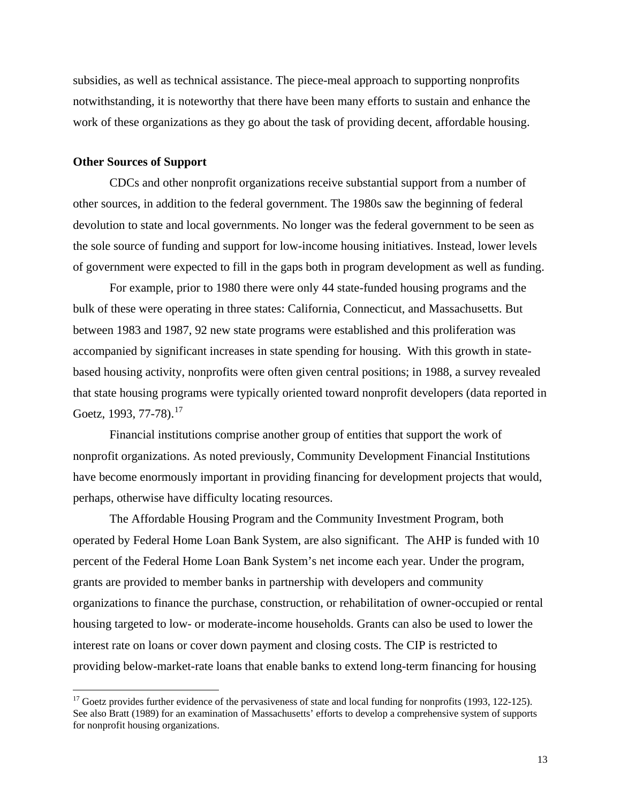subsidies, as well as technical assistance. The piece-meal approach to supporting nonprofits notwithstanding, it is noteworthy that there have been many efforts to sustain and enhance the work of these organizations as they go about the task of providing decent, affordable housing.

## **Other Sources of Support**

 $\overline{a}$ 

CDCs and other nonprofit organizations receive substantial support from a number of other sources, in addition to the federal government. The 1980s saw the beginning of federal devolution to state and local governments. No longer was the federal government to be seen as the sole source of funding and support for low-income housing initiatives. Instead, lower levels of government were expected to fill in the gaps both in program development as well as funding.

For example, prior to 1980 there were only 44 state-funded housing programs and the bulk of these were operating in three states: California, Connecticut, and Massachusetts. But between 1983 and 1987, 92 new state programs were established and this proliferation was accompanied by significant increases in state spending for housing. With this growth in statebased housing activity, nonprofits were often given central positions; in 1988, a survey revealed that state housing programs were typically oriented toward nonprofit developers (data reported in Goetz, 1993, 77-78).<sup>[17](#page-18-0)</sup>

Financial institutions comprise another group of entities that support the work of nonprofit organizations. As noted previously, Community Development Financial Institutions have become enormously important in providing financing for development projects that would, perhaps, otherwise have difficulty locating resources.

The Affordable Housing Program and the Community Investment Program, both operated by Federal Home Loan Bank System, are also significant. The AHP is funded with 10 percent of the Federal Home Loan Bank System's net income each year. Under the program, grants are provided to member banks in partnership with developers and community organizations to finance the purchase, construction, or rehabilitation of owner-occupied or rental housing targeted to low- or moderate-income households. Grants can also be used to lower the interest rate on loans or cover down payment and closing costs. The CIP is restricted to providing below-market-rate loans that enable banks to extend long-term financing for housing

<span id="page-18-0"></span> $17$  Goetz provides further evidence of the pervasiveness of state and local funding for nonprofits (1993, 122-125). See also Bratt (1989) for an examination of Massachusetts' efforts to develop a comprehensive system of supports for nonprofit housing organizations.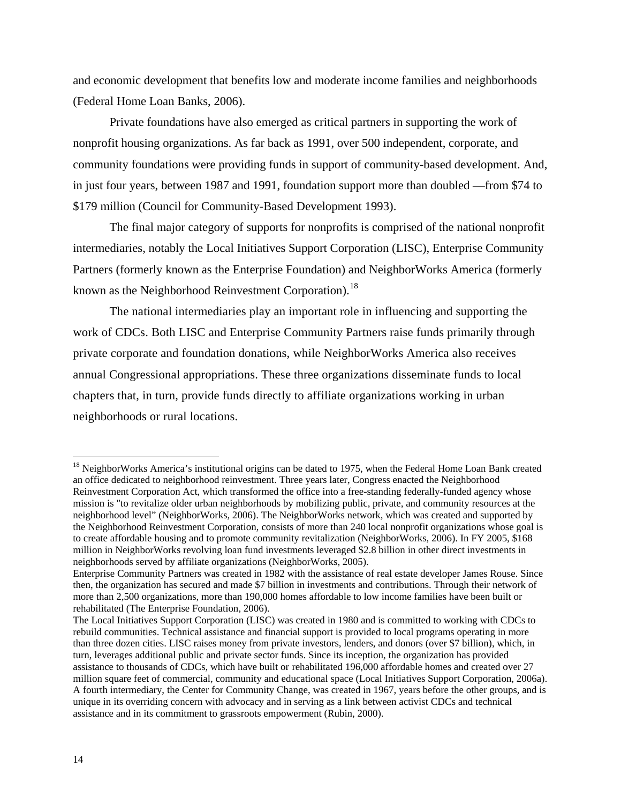and economic development that benefits low and moderate income families and neighborhoods (Federal Home Loan Banks, 2006).

Private foundations have also emerged as critical partners in supporting the work of nonprofit housing organizations. As far back as 1991, over 500 independent, corporate, and community foundations were providing funds in support of community-based development. And, in just four years, between 1987 and 1991, foundation support more than doubled —from \$74 to \$179 million (Council for Community-Based Development 1993).

The final major category of supports for nonprofits is comprised of the national nonprofit intermediaries, notably the Local Initiatives Support Corporation (LISC), Enterprise Community Partners (formerly known as the Enterprise Foundation) and NeighborWorks America (formerly known as the Neighborhood Reinvestment Corporation).<sup>[18](#page-19-0)</sup>

The national intermediaries play an important role in influencing and supporting the work of CDCs. Both LISC and Enterprise Community Partners raise funds primarily through private corporate and foundation donations, while NeighborWorks America also receives annual Congressional appropriations. These three organizations disseminate funds to local chapters that, in turn, provide funds directly to affiliate organizations working in urban neighborhoods or rural locations.

<span id="page-19-0"></span><sup>&</sup>lt;sup>18</sup> NeighborWorks America's institutional origins can be dated to 1975, when the Federal Home Loan Bank created an office dedicated to neighborhood reinvestment. Three years later, Congress enacted the Neighborhood Reinvestment Corporation Act, which transformed the office into a free-standing federally-funded agency whose mission is "to revitalize older urban neighborhoods by mobilizing public, private, and community resources at the neighborhood level" (NeighborWorks, 2006). The NeighborWorks network, which was created and supported by the Neighborhood Reinvestment Corporation, consists of more than 240 local nonprofit organizations whose goal is to create affordable housing and to promote community revitalization (NeighborWorks, 2006). In FY 2005, \$168 million in NeighborWorks revolving loan fund investments leveraged \$2.8 billion in other direct investments in neighborhoods served by affiliate organizations (NeighborWorks, 2005).

Enterprise Community Partners was created in 1982 with the assistance of real estate developer James Rouse. Since then, the organization has secured and made \$7 billion in investments and contributions. Through their network of more than 2,500 organizations, more than 190,000 homes affordable to low income families have been built or rehabilitated (The Enterprise Foundation, 2006).

The Local Initiatives Support Corporation (LISC) was created in 1980 and is committed to working with CDCs to rebuild communities. Technical assistance and financial support is provided to local programs operating in more than three dozen cities. LISC raises money from private investors, lenders, and donors (over \$7 billion), which, in turn, leverages additional public and private sector funds. Since its inception, the organization has provided assistance to thousands of CDCs, which have built or rehabilitated 196,000 affordable homes and created over 27 million square feet of commercial, community and educational space (Local Initiatives Support Corporation, 2006a). A fourth intermediary, the Center for Community Change, was created in 1967, years before the other groups, and is unique in its overriding concern with advocacy and in serving as a link between activist CDCs and technical assistance and in its commitment to grassroots empowerment (Rubin, 2000).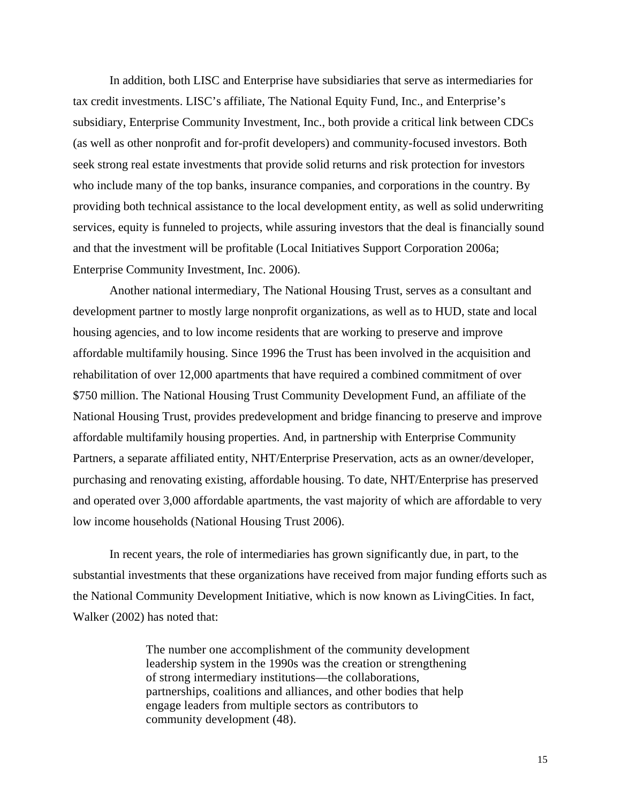In addition, both LISC and Enterprise have subsidiaries that serve as intermediaries for tax credit investments. LISC's affiliate, The National Equity Fund, Inc., and Enterprise's subsidiary, Enterprise Community Investment, Inc., both provide a critical link between CDCs (as well as other nonprofit and for-profit developers) and community-focused investors. Both seek strong real estate investments that provide solid returns and risk protection for investors who include many of the top banks, insurance companies, and corporations in the country. By providing both technical assistance to the local development entity, as well as solid underwriting services, equity is funneled to projects, while assuring investors that the deal is financially sound and that the investment will be profitable (Local Initiatives Support Corporation 2006a; Enterprise Community Investment, Inc. 2006).

Another national intermediary, The National Housing Trust, serves as a consultant and development partner to mostly large nonprofit organizations, as well as to HUD, state and local housing agencies, and to low income residents that are working to preserve and improve affordable multifamily housing. Since 1996 the Trust has been involved in the acquisition and rehabilitation of over 12,000 apartments that have required a combined commitment of over \$750 million. The National Housing Trust Community Development Fund, an affiliate of the National Housing Trust, provides predevelopment and bridge financing to preserve and improve affordable multifamily housing properties. And, in partnership with Enterprise Community Partners, a separate affiliated entity, NHT/Enterprise Preservation, acts as an owner/developer, purchasing and renovating existing, affordable housing. To date, NHT/Enterprise has preserved and operated over 3,000 affordable apartments, the vast majority of which are affordable to very low income households (National Housing Trust 2006).

In recent years, the role of intermediaries has grown significantly due, in part, to the substantial investments that these organizations have received from major funding efforts such as the National Community Development Initiative, which is now known as LivingCities. In fact, Walker (2002) has noted that:

> The number one accomplishment of the community development leadership system in the 1990s was the creation or strengthening of strong intermediary institutions—the collaborations, partnerships, coalitions and alliances, and other bodies that help engage leaders from multiple sectors as contributors to community development (48).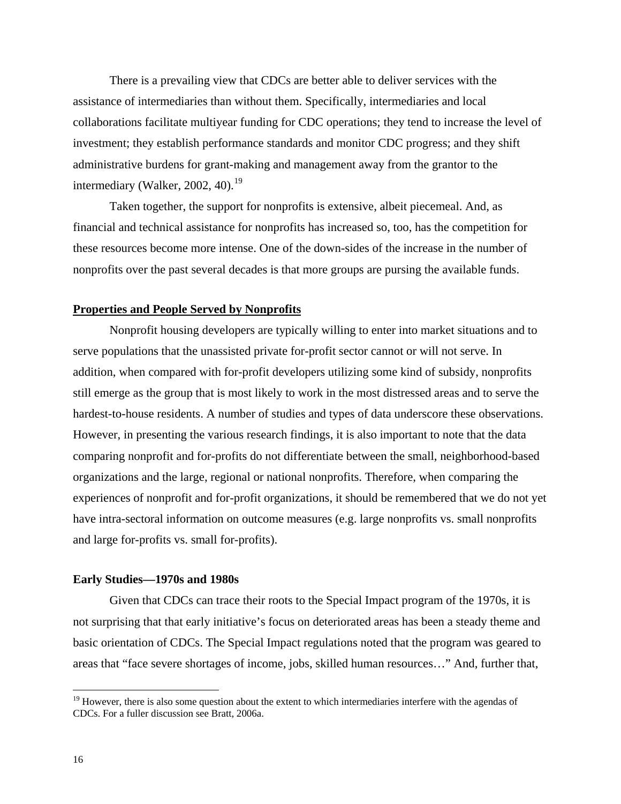There is a prevailing view that CDCs are better able to deliver services with the assistance of intermediaries than without them. Specifically, intermediaries and local collaborations facilitate multiyear funding for CDC operations; they tend to increase the level of investment; they establish performance standards and monitor CDC progress; and they shift administrative burdens for grant-making and management away from the grantor to the intermediary (Walker, 2002, 40). $^{19}$  $^{19}$  $^{19}$ 

Taken together, the support for nonprofits is extensive, albeit piecemeal. And, as financial and technical assistance for nonprofits has increased so, too, has the competition for these resources become more intense. One of the down-sides of the increase in the number of nonprofits over the past several decades is that more groups are pursing the available funds.

#### **Properties and People Served by Nonprofits**

Nonprofit housing developers are typically willing to enter into market situations and to serve populations that the unassisted private for-profit sector cannot or will not serve. In addition, when compared with for-profit developers utilizing some kind of subsidy, nonprofits still emerge as the group that is most likely to work in the most distressed areas and to serve the hardest-to-house residents. A number of studies and types of data underscore these observations. However, in presenting the various research findings, it is also important to note that the data comparing nonprofit and for-profits do not differentiate between the small, neighborhood-based organizations and the large, regional or national nonprofits. Therefore, when comparing the experiences of nonprofit and for-profit organizations, it should be remembered that we do not yet have intra-sectoral information on outcome measures (e.g. large nonprofits vs. small nonprofits and large for-profits vs. small for-profits).

#### **Early Studies—1970s and 1980s**

Given that CDCs can trace their roots to the Special Impact program of the 1970s, it is not surprising that that early initiative's focus on deteriorated areas has been a steady theme and basic orientation of CDCs. The Special Impact regulations noted that the program was geared to areas that "face severe shortages of income, jobs, skilled human resources…" And, further that,

<span id="page-21-0"></span> $19$  However, there is also some question about the extent to which intermediaries interfere with the agendas of CDCs. For a fuller discussion see Bratt, 2006a.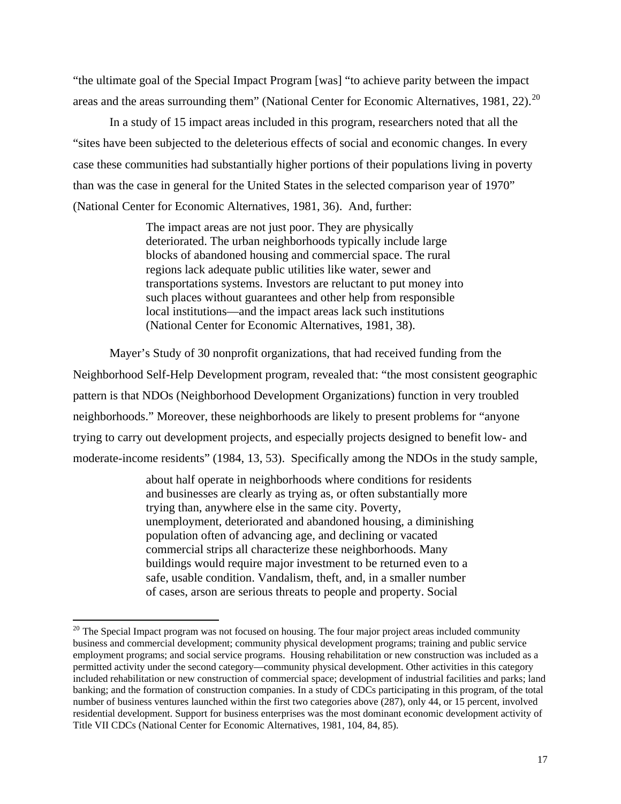"the ultimate goal of the Special Impact Program [was] "to achieve parity between the impact areas and the areas surrounding them" (National Center for Economic Alternatives, 1981, 22).<sup>[20](#page-22-0)</sup>

In a study of 15 impact areas included in this program, researchers noted that all the "sites have been subjected to the deleterious effects of social and economic changes. In every case these communities had substantially higher portions of their populations living in poverty than was the case in general for the United States in the selected comparison year of 1970" (National Center for Economic Alternatives, 1981, 36). And, further:

> The impact areas are not just poor. They are physically deteriorated. The urban neighborhoods typically include large blocks of abandoned housing and commercial space. The rural regions lack adequate public utilities like water, sewer and transportations systems. Investors are reluctant to put money into such places without guarantees and other help from responsible local institutions—and the impact areas lack such institutions (National Center for Economic Alternatives, 1981, 38).

Mayer's Study of 30 nonprofit organizations, that had received funding from the Neighborhood Self-Help Development program, revealed that: "the most consistent geographic pattern is that NDOs (Neighborhood Development Organizations) function in very troubled neighborhoods." Moreover, these neighborhoods are likely to present problems for "anyone trying to carry out development projects, and especially projects designed to benefit low- and moderate-income residents" (1984, 13, 53). Specifically among the NDOs in the study sample,

> about half operate in neighborhoods where conditions for residents and businesses are clearly as trying as, or often substantially more trying than, anywhere else in the same city. Poverty, unemployment, deteriorated and abandoned housing, a diminishing population often of advancing age, and declining or vacated commercial strips all characterize these neighborhoods. Many buildings would require major investment to be returned even to a safe, usable condition. Vandalism, theft, and, in a smaller number of cases, arson are serious threats to people and property. Social

<span id="page-22-0"></span> $20$  The Special Impact program was not focused on housing. The four major project areas included community business and commercial development; community physical development programs; training and public service employment programs; and social service programs. Housing rehabilitation or new construction was included as a permitted activity under the second category—community physical development. Other activities in this category included rehabilitation or new construction of commercial space; development of industrial facilities and parks; land banking; and the formation of construction companies. In a study of CDCs participating in this program, of the total number of business ventures launched within the first two categories above (287), only 44, or 15 percent, involved residential development. Support for business enterprises was the most dominant economic development activity of Title VII CDCs (National Center for Economic Alternatives, 1981, 104, 84, 85).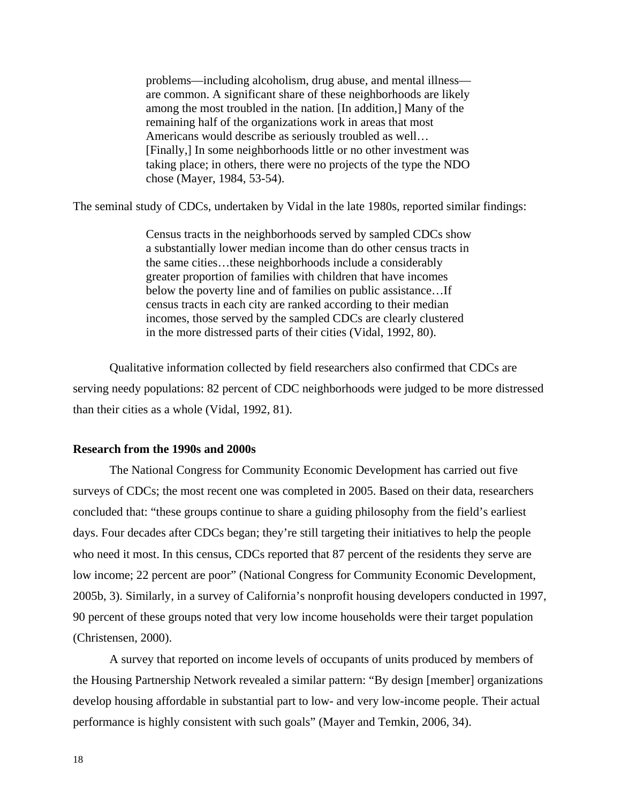problems—including alcoholism, drug abuse, and mental illness are common. A significant share of these neighborhoods are likely among the most troubled in the nation. [In addition,] Many of the remaining half of the organizations work in areas that most Americans would describe as seriously troubled as well… [Finally,] In some neighborhoods little or no other investment was taking place; in others, there were no projects of the type the NDO chose (Mayer, 1984, 53-54).

The seminal study of CDCs, undertaken by Vidal in the late 1980s, reported similar findings:

Census tracts in the neighborhoods served by sampled CDCs show a substantially lower median income than do other census tracts in the same cities…these neighborhoods include a considerably greater proportion of families with children that have incomes below the poverty line and of families on public assistance…If census tracts in each city are ranked according to their median incomes, those served by the sampled CDCs are clearly clustered in the more distressed parts of their cities (Vidal, 1992, 80).

Qualitative information collected by field researchers also confirmed that CDCs are serving needy populations: 82 percent of CDC neighborhoods were judged to be more distressed than their cities as a whole (Vidal, 1992, 81).

#### **Research from the 1990s and 2000s**

The National Congress for Community Economic Development has carried out five surveys of CDCs; the most recent one was completed in 2005. Based on their data, researchers concluded that: "these groups continue to share a guiding philosophy from the field's earliest days. Four decades after CDCs began; they're still targeting their initiatives to help the people who need it most. In this census, CDCs reported that 87 percent of the residents they serve are low income; 22 percent are poor" (National Congress for Community Economic Development, 2005b, 3). Similarly, in a survey of California's nonprofit housing developers conducted in 1997, 90 percent of these groups noted that very low income households were their target population (Christensen, 2000).

 A survey that reported on income levels of occupants of units produced by members of the Housing Partnership Network revealed a similar pattern: "By design [member] organizations develop housing affordable in substantial part to low- and very low-income people. Their actual performance is highly consistent with such goals" (Mayer and Temkin, 2006, 34).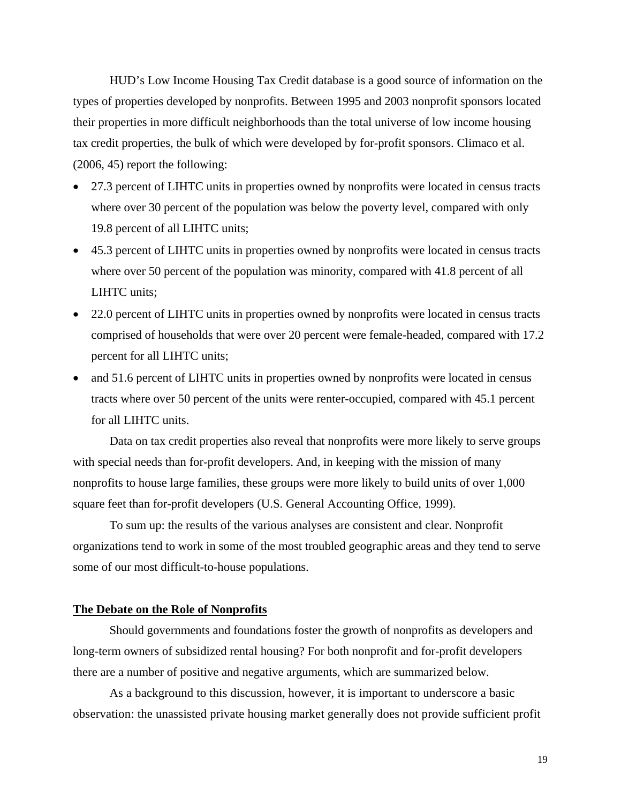HUD's Low Income Housing Tax Credit database is a good source of information on the types of properties developed by nonprofits. Between 1995 and 2003 nonprofit sponsors located their properties in more difficult neighborhoods than the total universe of low income housing tax credit properties, the bulk of which were developed by for-profit sponsors. Climaco et al. (2006, 45) report the following:

- 27.3 percent of LIHTC units in properties owned by nonprofits were located in census tracts where over 30 percent of the population was below the poverty level, compared with only 19.8 percent of all LIHTC units;
- 45.3 percent of LIHTC units in properties owned by nonprofits were located in census tracts where over 50 percent of the population was minority, compared with 41.8 percent of all LIHTC units;
- 22.0 percent of LIHTC units in properties owned by nonprofits were located in census tracts comprised of households that were over 20 percent were female-headed, compared with 17.2 percent for all LIHTC units;
- and 51.6 percent of LIHTC units in properties owned by nonprofits were located in census tracts where over 50 percent of the units were renter-occupied, compared with 45.1 percent for all LIHTC units.

Data on tax credit properties also reveal that nonprofits were more likely to serve groups with special needs than for-profit developers. And, in keeping with the mission of many nonprofits to house large families, these groups were more likely to build units of over 1,000 square feet than for-profit developers (U.S. General Accounting Office, 1999).

To sum up: the results of the various analyses are consistent and clear. Nonprofit organizations tend to work in some of the most troubled geographic areas and they tend to serve some of our most difficult-to-house populations.

#### **The Debate on the Role of Nonprofits**

Should governments and foundations foster the growth of nonprofits as developers and long-term owners of subsidized rental housing? For both nonprofit and for-profit developers there are a number of positive and negative arguments, which are summarized below.

As a background to this discussion, however, it is important to underscore a basic observation: the unassisted private housing market generally does not provide sufficient profit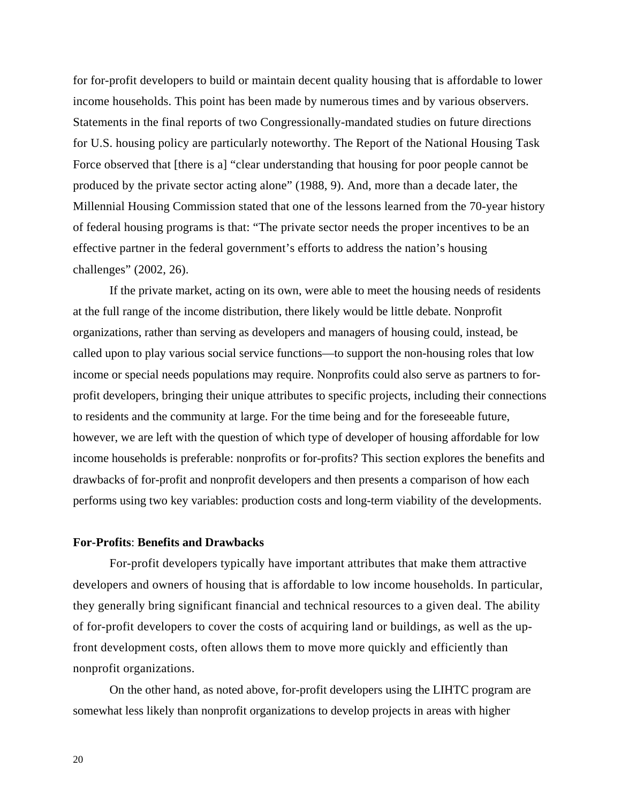for for-profit developers to build or maintain decent quality housing that is affordable to lower income households. This point has been made by numerous times and by various observers. Statements in the final reports of two Congressionally-mandated studies on future directions for U.S. housing policy are particularly noteworthy. The Report of the National Housing Task Force observed that [there is a] "clear understanding that housing for poor people cannot be produced by the private sector acting alone" (1988, 9). And, more than a decade later, the Millennial Housing Commission stated that one of the lessons learned from the 70-year history of federal housing programs is that: "The private sector needs the proper incentives to be an effective partner in the federal government's efforts to address the nation's housing challenges" (2002, 26).

If the private market, acting on its own, were able to meet the housing needs of residents at the full range of the income distribution, there likely would be little debate. Nonprofit organizations, rather than serving as developers and managers of housing could, instead, be called upon to play various social service functions—to support the non-housing roles that low income or special needs populations may require. Nonprofits could also serve as partners to forprofit developers, bringing their unique attributes to specific projects, including their connections to residents and the community at large. For the time being and for the foreseeable future, however, we are left with the question of which type of developer of housing affordable for low income households is preferable: nonprofits or for-profits? This section explores the benefits and drawbacks of for-profit and nonprofit developers and then presents a comparison of how each performs using two key variables: production costs and long-term viability of the developments.

#### **For-Profits**: **Benefits and Drawbacks**

For-profit developers typically have important attributes that make them attractive developers and owners of housing that is affordable to low income households. In particular, they generally bring significant financial and technical resources to a given deal. The ability of for-profit developers to cover the costs of acquiring land or buildings, as well as the upfront development costs, often allows them to move more quickly and efficiently than nonprofit organizations.

On the other hand, as noted above, for-profit developers using the LIHTC program are somewhat less likely than nonprofit organizations to develop projects in areas with higher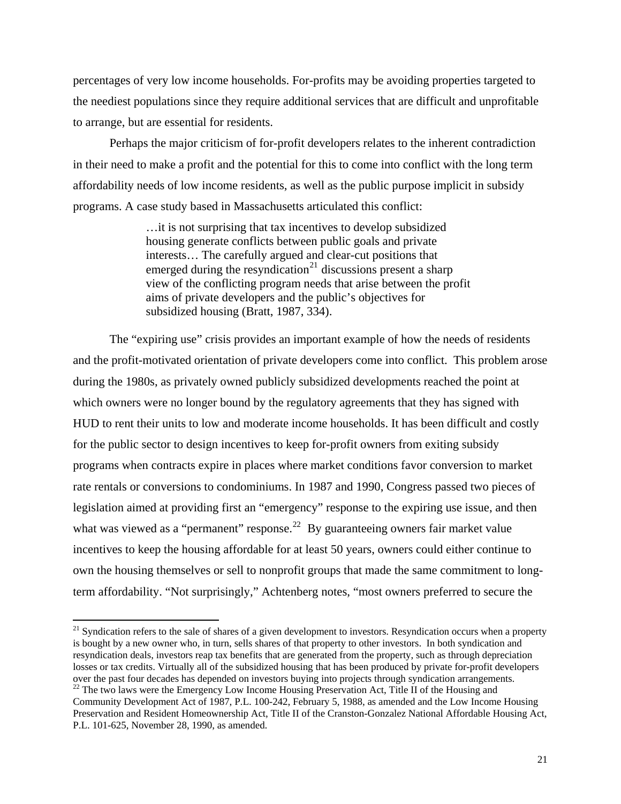percentages of very low income households. For-profits may be avoiding properties targeted to the neediest populations since they require additional services that are difficult and unprofitable to arrange, but are essential for residents.

 Perhaps the major criticism of for-profit developers relates to the inherent contradiction in their need to make a profit and the potential for this to come into conflict with the long term affordability needs of low income residents, as well as the public purpose implicit in subsidy programs. A case study based in Massachusetts articulated this conflict:

> …it is not surprising that tax incentives to develop subsidized housing generate conflicts between public goals and private interests… The carefully argued and clear-cut positions that emerged during the resyndication<sup>21</sup> discussions present a sharp view of the conflicting program needs that arise between the profit aims of private developers and the public's objectives for subsidized housing (Bratt, 1987, 334).

The "expiring use" crisis provides an important example of how the needs of residents and the profit-motivated orientation of private developers come into conflict. This problem arose during the 1980s, as privately owned publicly subsidized developments reached the point at which owners were no longer bound by the regulatory agreements that they has signed with HUD to rent their units to low and moderate income households. It has been difficult and costly for the public sector to design incentives to keep for-profit owners from exiting subsidy programs when contracts expire in places where market conditions favor conversion to market rate rentals or conversions to condominiums. In 1987 and 1990, Congress passed two pieces of legislation aimed at providing first an "emergency" response to the expiring use issue, and then what was viewed as a "permanent" response.<sup>[22](#page-26-1)</sup> By guaranteeing owners fair market value incentives to keep the housing affordable for at least 50 years, owners could either continue to own the housing themselves or sell to nonprofit groups that made the same commitment to longterm affordability. "Not surprisingly," Achtenberg notes, "most owners preferred to secure the

<span id="page-26-1"></span><span id="page-26-0"></span> $21$  Syndication refers to the sale of shares of a given development to investors. Resyndication occurs when a property is bought by a new owner who, in turn, sells shares of that property to other investors. In both syndication and resyndication deals, investors reap tax benefits that are generated from the property, such as through depreciation losses or tax credits. Virtually all of the subsidized housing that has been produced by private for-profit developers over the past four decades has depended on investors buying into projects through syndication arrangements.  $22$  The two laws were the Emergency Low Income Housing Preservation Act, Title II of the Housing and Community Development Act of 1987, P.L. 100-242, February 5, 1988, as amended and the Low Income Housing Preservation and Resident Homeownership Act, Title II of the Cranston-Gonzalez National Affordable Housing Act, P.L. 101-625, November 28, 1990, as amended.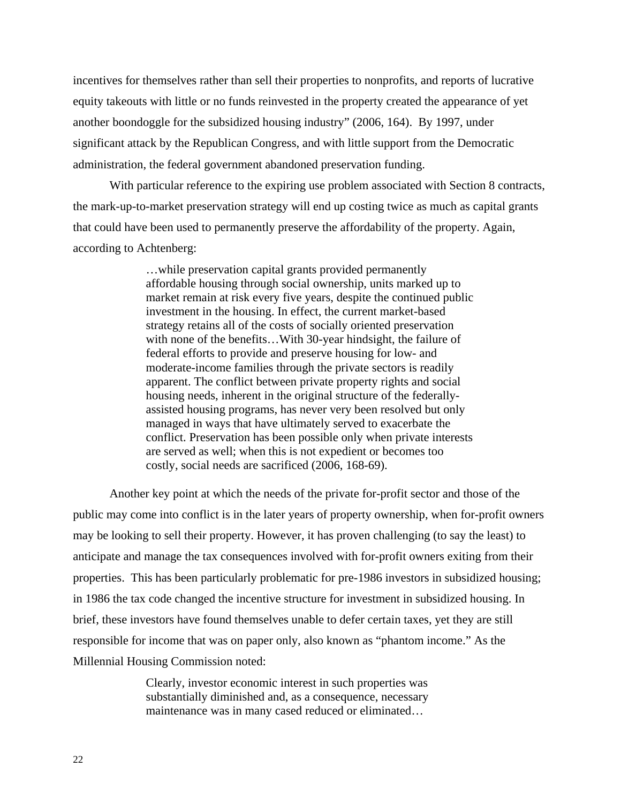incentives for themselves rather than sell their properties to nonprofits, and reports of lucrative equity takeouts with little or no funds reinvested in the property created the appearance of yet another boondoggle for the subsidized housing industry" (2006, 164). By 1997, under significant attack by the Republican Congress, and with little support from the Democratic administration, the federal government abandoned preservation funding.

With particular reference to the expiring use problem associated with Section 8 contracts, the mark-up-to-market preservation strategy will end up costing twice as much as capital grants that could have been used to permanently preserve the affordability of the property. Again, according to Achtenberg:

> …while preservation capital grants provided permanently affordable housing through social ownership, units marked up to market remain at risk every five years, despite the continued public investment in the housing. In effect, the current market-based strategy retains all of the costs of socially oriented preservation with none of the benefits…With 30-year hindsight, the failure of federal efforts to provide and preserve housing for low- and moderate-income families through the private sectors is readily apparent. The conflict between private property rights and social housing needs, inherent in the original structure of the federallyassisted housing programs, has never very been resolved but only managed in ways that have ultimately served to exacerbate the conflict. Preservation has been possible only when private interests are served as well; when this is not expedient or becomes too costly, social needs are sacrificed (2006, 168-69).

Another key point at which the needs of the private for-profit sector and those of the public may come into conflict is in the later years of property ownership, when for-profit owners may be looking to sell their property. However, it has proven challenging (to say the least) to anticipate and manage the tax consequences involved with for-profit owners exiting from their properties. This has been particularly problematic for pre-1986 investors in subsidized housing; in 1986 the tax code changed the incentive structure for investment in subsidized housing. In brief, these investors have found themselves unable to defer certain taxes, yet they are still responsible for income that was on paper only, also known as "phantom income." As the Millennial Housing Commission noted:

> Clearly, investor economic interest in such properties was substantially diminished and, as a consequence, necessary maintenance was in many cased reduced or eliminated…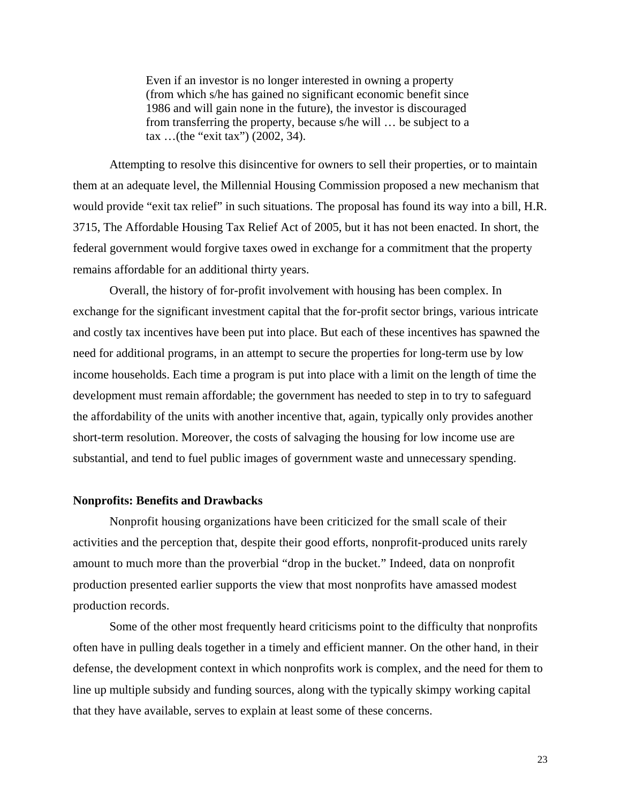Even if an investor is no longer interested in owning a property (from which s/he has gained no significant economic benefit since 1986 and will gain none in the future), the investor is discouraged from transferring the property, because s/he will … be subject to a tax …(the "exit tax") (2002, 34).

Attempting to resolve this disincentive for owners to sell their properties, or to maintain them at an adequate level, the Millennial Housing Commission proposed a new mechanism that would provide "exit tax relief" in such situations. The proposal has found its way into a bill, H.R. 3715, The Affordable Housing Tax Relief Act of 2005, but it has not been enacted. In short, the federal government would forgive taxes owed in exchange for a commitment that the property remains affordable for an additional thirty years.

Overall, the history of for-profit involvement with housing has been complex. In exchange for the significant investment capital that the for-profit sector brings, various intricate and costly tax incentives have been put into place. But each of these incentives has spawned the need for additional programs, in an attempt to secure the properties for long-term use by low income households. Each time a program is put into place with a limit on the length of time the development must remain affordable; the government has needed to step in to try to safeguard the affordability of the units with another incentive that, again, typically only provides another short-term resolution. Moreover, the costs of salvaging the housing for low income use are substantial, and tend to fuel public images of government waste and unnecessary spending.

#### **Nonprofits: Benefits and Drawbacks**

Nonprofit housing organizations have been criticized for the small scale of their activities and the perception that, despite their good efforts, nonprofit-produced units rarely amount to much more than the proverbial "drop in the bucket." Indeed, data on nonprofit production presented earlier supports the view that most nonprofits have amassed modest production records.

 Some of the other most frequently heard criticisms point to the difficulty that nonprofits often have in pulling deals together in a timely and efficient manner. On the other hand, in their defense, the development context in which nonprofits work is complex, and the need for them to line up multiple subsidy and funding sources, along with the typically skimpy working capital that they have available, serves to explain at least some of these concerns.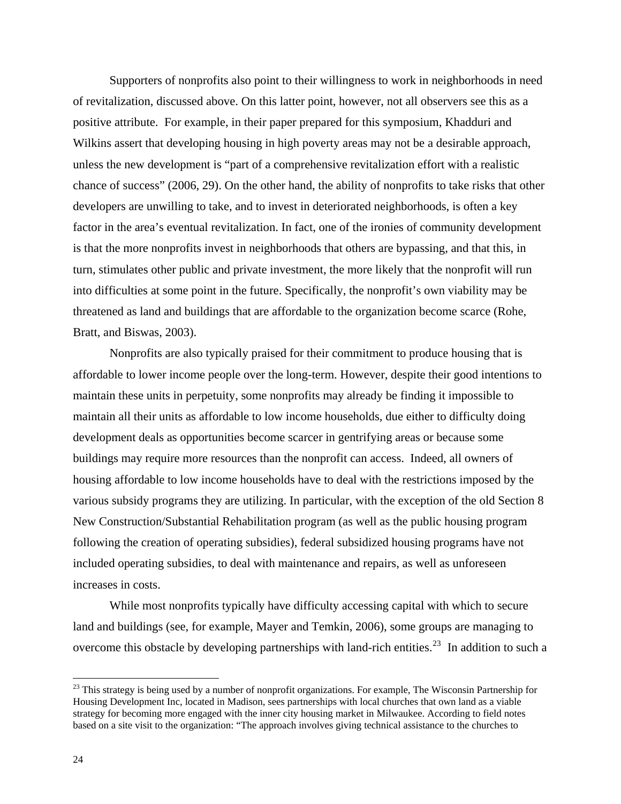Supporters of nonprofits also point to their willingness to work in neighborhoods in need of revitalization, discussed above. On this latter point, however, not all observers see this as a positive attribute. For example, in their paper prepared for this symposium, Khadduri and Wilkins assert that developing housing in high poverty areas may not be a desirable approach, unless the new development is "part of a comprehensive revitalization effort with a realistic chance of success" (2006, 29). On the other hand, the ability of nonprofits to take risks that other developers are unwilling to take, and to invest in deteriorated neighborhoods, is often a key factor in the area's eventual revitalization. In fact, one of the ironies of community development is that the more nonprofits invest in neighborhoods that others are bypassing, and that this, in turn, stimulates other public and private investment, the more likely that the nonprofit will run into difficulties at some point in the future. Specifically, the nonprofit's own viability may be threatened as land and buildings that are affordable to the organization become scarce (Rohe, Bratt, and Biswas, 2003).

Nonprofits are also typically praised for their commitment to produce housing that is affordable to lower income people over the long-term. However, despite their good intentions to maintain these units in perpetuity, some nonprofits may already be finding it impossible to maintain all their units as affordable to low income households, due either to difficulty doing development deals as opportunities become scarcer in gentrifying areas or because some buildings may require more resources than the nonprofit can access. Indeed, all owners of housing affordable to low income households have to deal with the restrictions imposed by the various subsidy programs they are utilizing. In particular, with the exception of the old Section 8 New Construction/Substantial Rehabilitation program (as well as the public housing program following the creation of operating subsidies), federal subsidized housing programs have not included operating subsidies, to deal with maintenance and repairs, as well as unforeseen increases in costs.

While most nonprofits typically have difficulty accessing capital with which to secure land and buildings (see, for example, Mayer and Temkin, 2006), some groups are managing to overcome this obstacle by developing partnerships with land-rich entities.<sup>[23](#page-29-0)</sup> In addition to such a

<span id="page-29-0"></span> $^{23}$  This strategy is being used by a number of nonprofit organizations. For example, The Wisconsin Partnership for Housing Development Inc, located in Madison, sees partnerships with local churches that own land as a viable strategy for becoming more engaged with the inner city housing market in Milwaukee. According to field notes based on a site visit to the organization: "The approach involves giving technical assistance to the churches to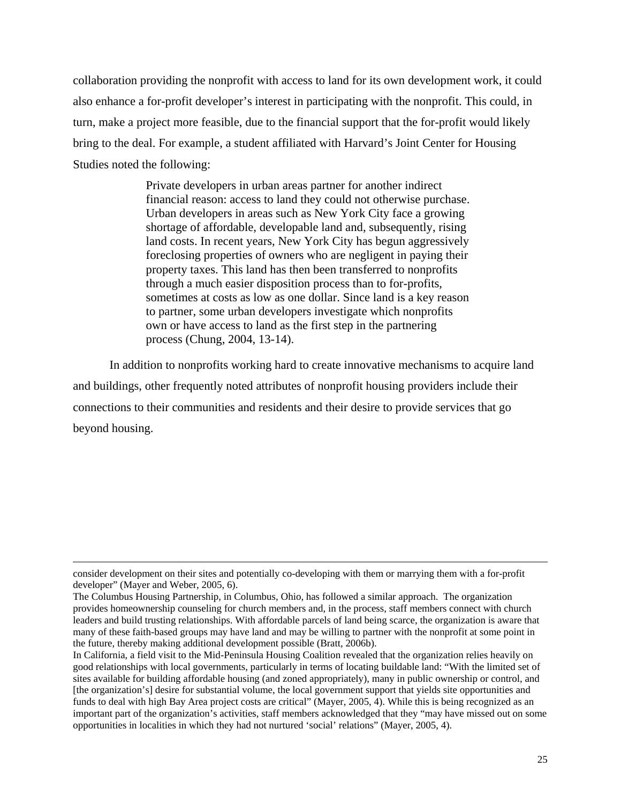collaboration providing the nonprofit with access to land for its own development work, it could also enhance a for-profit developer's interest in participating with the nonprofit. This could, in turn, make a project more feasible, due to the financial support that the for-profit would likely bring to the deal. For example, a student affiliated with Harvard's Joint Center for Housing Studies noted the following:

> Private developers in urban areas partner for another indirect financial reason: access to land they could not otherwise purchase. Urban developers in areas such as New York City face a growing shortage of affordable, developable land and, subsequently, rising land costs. In recent years, New York City has begun aggressively foreclosing properties of owners who are negligent in paying their property taxes. This land has then been transferred to nonprofits through a much easier disposition process than to for-profits, sometimes at costs as low as one dollar. Since land is a key reason to partner, some urban developers investigate which nonprofits own or have access to land as the first step in the partnering process (Chung, 2004, 13-14).

In addition to nonprofits working hard to create innovative mechanisms to acquire land and buildings, other frequently noted attributes of nonprofit housing providers include their connections to their communities and residents and their desire to provide services that go beyond housing.

consider development on their sites and potentially co-developing with them or marrying them with a for-profit developer" (Mayer and Weber, 2005, 6).

The Columbus Housing Partnership, in Columbus, Ohio, has followed a similar approach. The organization provides homeownership counseling for church members and, in the process, staff members connect with church leaders and build trusting relationships. With affordable parcels of land being scarce, the organization is aware that many of these faith-based groups may have land and may be willing to partner with the nonprofit at some point in the future, thereby making additional development possible (Bratt, 2006b).

In California, a field visit to the Mid-Peninsula Housing Coalition revealed that the organization relies heavily on good relationships with local governments, particularly in terms of locating buildable land: "With the limited set of sites available for building affordable housing (and zoned appropriately), many in public ownership or control, and [the organization's] desire for substantial volume, the local government support that yields site opportunities and funds to deal with high Bay Area project costs are critical" (Mayer, 2005, 4). While this is being recognized as an important part of the organization's activities, staff members acknowledged that they "may have missed out on some opportunities in localities in which they had not nurtured 'social' relations" (Mayer, 2005, 4).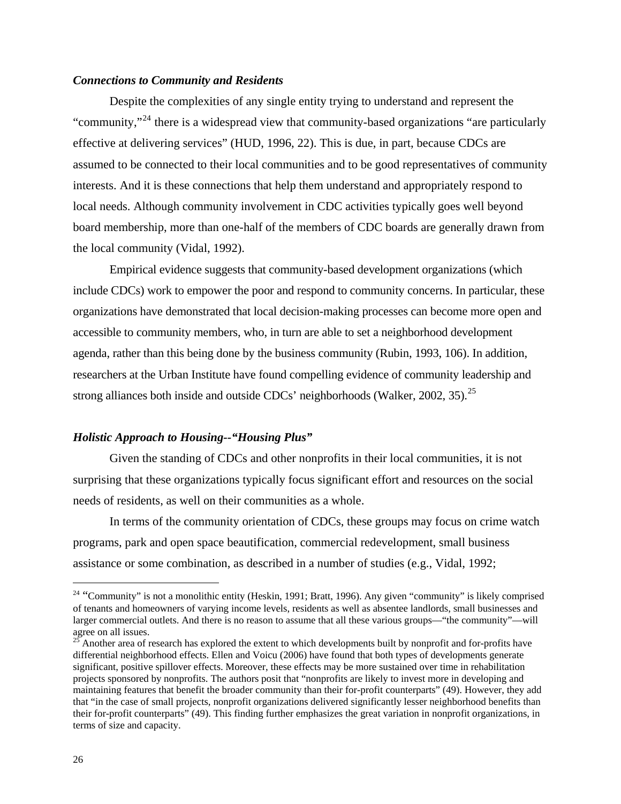#### *Connections to Community and Residents*

Despite the complexities of any single entity trying to understand and represent the "community,"<sup>[24](#page-31-0)</sup> there is a widespread view that community-based organizations "are particularly" effective at delivering services" (HUD, 1996, 22). This is due, in part, because CDCs are assumed to be connected to their local communities and to be good representatives of community interests. And it is these connections that help them understand and appropriately respond to local needs. Although community involvement in CDC activities typically goes well beyond board membership, more than one-half of the members of CDC boards are generally drawn from the local community (Vidal, 1992).

Empirical evidence suggests that community-based development organizations (which include CDCs) work to empower the poor and respond to community concerns. In particular, these organizations have demonstrated that local decision-making processes can become more open and accessible to community members, who, in turn are able to set a neighborhood development agenda, rather than this being done by the business community (Rubin, 1993, 106). In addition, researchers at the Urban Institute have found compelling evidence of community leadership and strong alliances both inside and outside CDCs' neighborhoods (Walker, 2002, 35).[25](#page-31-1) 

## *Holistic Approach to Housing--"Housing Plus"*

Given the standing of CDCs and other nonprofits in their local communities, it is not surprising that these organizations typically focus significant effort and resources on the social needs of residents, as well on their communities as a whole.

In terms of the community orientation of CDCs, these groups may focus on crime watch programs, park and open space beautification, commercial redevelopment, small business assistance or some combination, as described in a number of studies (e.g., Vidal, 1992;

<span id="page-31-0"></span><sup>&</sup>lt;sup>24</sup> "Community" is not a monolithic entity (Heskin, 1991; Bratt, 1996). Any given "community" is likely comprised of tenants and homeowners of varying income levels, residents as well as absentee landlords, small businesses and larger commercial outlets. And there is no reason to assume that all these various groups—"the community"—will agree on all issues.

<span id="page-31-1"></span> $25$  Another area of research has explored the extent to which developments built by nonprofit and for-profits have differential neighborhood effects. Ellen and Voicu (2006) have found that both types of developments generate significant, positive spillover effects. Moreover, these effects may be more sustained over time in rehabilitation projects sponsored by nonprofits. The authors posit that "nonprofits are likely to invest more in developing and maintaining features that benefit the broader community than their for-profit counterparts" (49). However, they add that "in the case of small projects, nonprofit organizations delivered significantly lesser neighborhood benefits than their for-profit counterparts" (49). This finding further emphasizes the great variation in nonprofit organizations, in terms of size and capacity.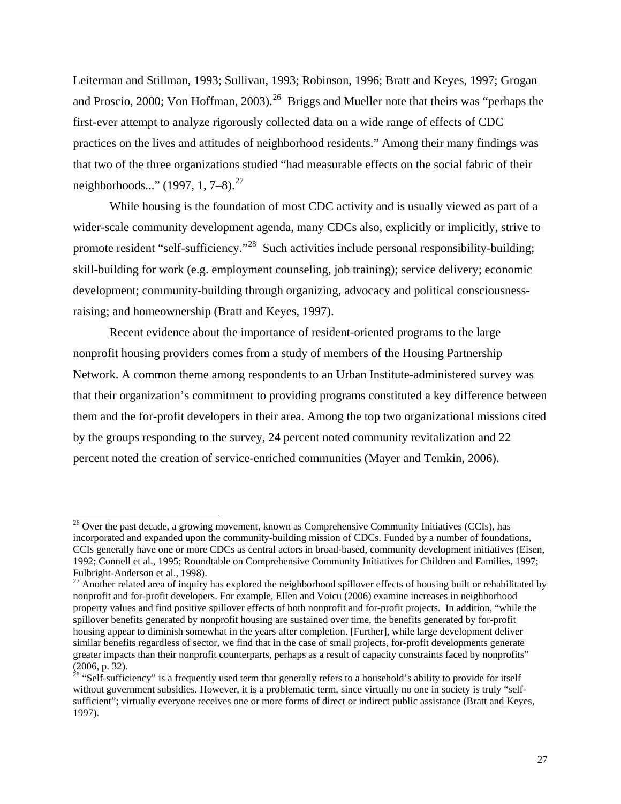Leiterman and Stillman, 1993; Sullivan, 1993; Robinson, 1996; Bratt and Keyes, 1997; Grogan and Proscio, 2000; Von Hoffman, 2003).<sup>[26](#page-32-0)</sup> Briggs and Mueller note that theirs was "perhaps the first-ever attempt to analyze rigorously collected data on a wide range of effects of CDC practices on the lives and attitudes of neighborhood residents." Among their many findings was that two of the three organizations studied "had measurable effects on the social fabric of their neighborhoods..." (1997, 1, 7–8).<sup>[27](#page-32-1)</sup>

 While housing is the foundation of most CDC activity and is usually viewed as part of a wider-scale community development agenda, many CDCs also, explicitly or implicitly, strive to promote resident "self-sufficiency."[28](#page-32-2) Such activities include personal responsibility-building; skill-building for work (e.g. employment counseling, job training); service delivery; economic development; community-building through organizing, advocacy and political consciousnessraising; and homeownership (Bratt and Keyes, 1997).

Recent evidence about the importance of resident-oriented programs to the large nonprofit housing providers comes from a study of members of the Housing Partnership Network. A common theme among respondents to an Urban Institute-administered survey was that their organization's commitment to providing programs constituted a key difference between them and the for-profit developers in their area. Among the top two organizational missions cited by the groups responding to the survey, 24 percent noted community revitalization and 22 percent noted the creation of service-enriched communities (Mayer and Temkin, 2006).

<span id="page-32-0"></span> $26$  Over the past decade, a growing movement, known as Comprehensive Community Initiatives (CCIs), has incorporated and expanded upon the community-building mission of CDCs. Funded by a number of foundations, CCIs generally have one or more CDCs as central actors in broad-based, community development initiatives (Eisen, 1992; Connell et al., 1995; Roundtable on Comprehensive Community Initiatives for Children and Families, 1997; Fulbright-Anderson et al., 1998).

<span id="page-32-1"></span><sup>&</sup>lt;sup>27</sup> Another related area of inquiry has explored the neighborhood spillover effects of housing built or rehabilitated by nonprofit and for-profit developers. For example, Ellen and Voicu (2006) examine increases in neighborhood property values and find positive spillover effects of both nonprofit and for-profit projects. In addition, "while the spillover benefits generated by nonprofit housing are sustained over time, the benefits generated by for-profit housing appear to diminish somewhat in the years after completion. [Further], while large development deliver similar benefits regardless of sector, we find that in the case of small projects, for-profit developments generate greater impacts than their nonprofit counterparts, perhaps as a result of capacity constraints faced by nonprofits" (2006, p. 32).

<span id="page-32-2"></span><sup>&</sup>lt;sup>28</sup> "Self-sufficiency" is a frequently used term that generally refers to a household's ability to provide for itself without government subsidies. However, it is a problematic term, since virtually no one in society is truly "selfsufficient"; virtually everyone receives one or more forms of direct or indirect public assistance (Bratt and Keyes, 1997).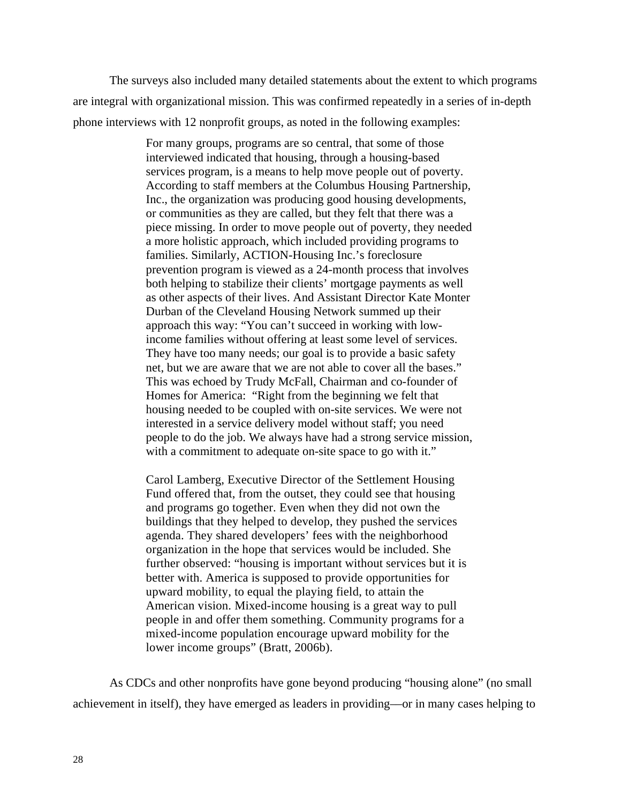The surveys also included many detailed statements about the extent to which programs are integral with organizational mission. This was confirmed repeatedly in a series of in-depth phone interviews with 12 nonprofit groups, as noted in the following examples:

> For many groups, programs are so central, that some of those interviewed indicated that housing, through a housing-based services program, is a means to help move people out of poverty. According to staff members at the Columbus Housing Partnership, Inc., the organization was producing good housing developments, or communities as they are called, but they felt that there was a piece missing. In order to move people out of poverty, they needed a more holistic approach, which included providing programs to families. Similarly, ACTION-Housing Inc.'s foreclosure prevention program is viewed as a 24-month process that involves both helping to stabilize their clients' mortgage payments as well as other aspects of their lives. And Assistant Director Kate Monter Durban of the Cleveland Housing Network summed up their approach this way: "You can't succeed in working with lowincome families without offering at least some level of services. They have too many needs; our goal is to provide a basic safety net, but we are aware that we are not able to cover all the bases." This was echoed by Trudy McFall, Chairman and co-founder of Homes for America: "Right from the beginning we felt that housing needed to be coupled with on-site services. We were not interested in a service delivery model without staff; you need people to do the job. We always have had a strong service mission, with a commitment to adequate on-site space to go with it."

Carol Lamberg, Executive Director of the Settlement Housing Fund offered that, from the outset, they could see that housing and programs go together. Even when they did not own the buildings that they helped to develop, they pushed the services agenda. They shared developers' fees with the neighborhood organization in the hope that services would be included. She further observed: "housing is important without services but it is better with. America is supposed to provide opportunities for upward mobility, to equal the playing field, to attain the American vision. Mixed-income housing is a great way to pull people in and offer them something. Community programs for a mixed-income population encourage upward mobility for the lower income groups" (Bratt, 2006b).

As CDCs and other nonprofits have gone beyond producing "housing alone" (no small achievement in itself), they have emerged as leaders in providing––or in many cases helping to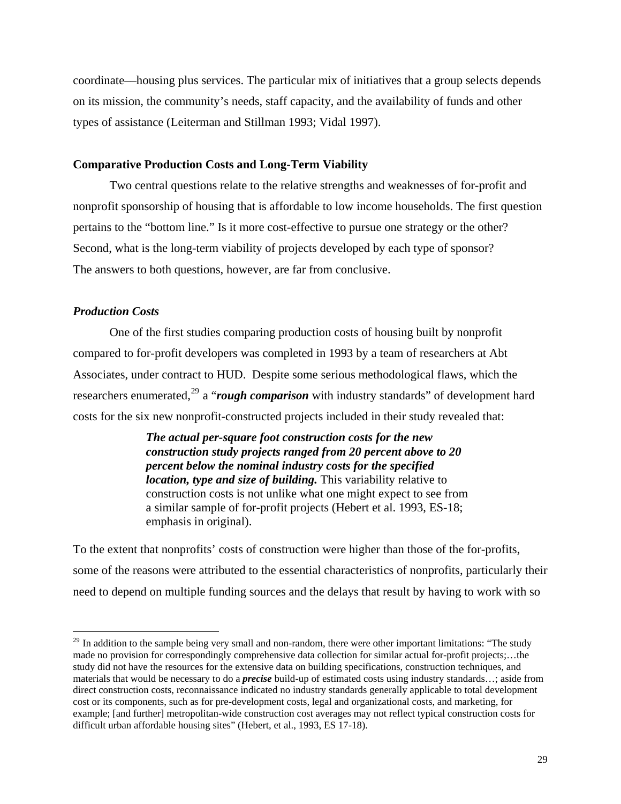coordinate––housing plus services. The particular mix of initiatives that a group selects depends on its mission, the community's needs, staff capacity, and the availability of funds and other types of assistance (Leiterman and Stillman 1993; Vidal 1997).

#### **Comparative Production Costs and Long-Term Viability**

Two central questions relate to the relative strengths and weaknesses of for-profit and nonprofit sponsorship of housing that is affordable to low income households. The first question pertains to the "bottom line." Is it more cost-effective to pursue one strategy or the other? Second, what is the long-term viability of projects developed by each type of sponsor? The answers to both questions, however, are far from conclusive.

#### *Production Costs*

 $\overline{a}$ 

One of the first studies comparing production costs of housing built by nonprofit compared to for-profit developers was completed in 1993 by a team of researchers at Abt Associates, under contract to HUD. Despite some serious methodological flaws, which the researchers enumerated,<sup>[29](#page-34-0)</sup> a "*rough comparison* with industry standards" of development hard costs for the six new nonprofit-constructed projects included in their study revealed that:

> *The actual per-square foot construction costs for the new construction study projects ranged from 20 percent above to 20 percent below the nominal industry costs for the specified location, type and size of building.* This variability relative to construction costs is not unlike what one might expect to see from a similar sample of for-profit projects (Hebert et al. 1993, ES-18; emphasis in original).

To the extent that nonprofits' costs of construction were higher than those of the for-profits, some of the reasons were attributed to the essential characteristics of nonprofits, particularly their need to depend on multiple funding sources and the delays that result by having to work with so

<span id="page-34-0"></span><sup>&</sup>lt;sup>29</sup> In addition to the sample being very small and non-random, there were other important limitations: "The study made no provision for correspondingly comprehensive data collection for similar actual for-profit projects;…the study did not have the resources for the extensive data on building specifications, construction techniques, and materials that would be necessary to do a *precise* build-up of estimated costs using industry standards…; aside from direct construction costs, reconnaissance indicated no industry standards generally applicable to total development cost or its components, such as for pre-development costs, legal and organizational costs, and marketing, for example; [and further] metropolitan-wide construction cost averages may not reflect typical construction costs for difficult urban affordable housing sites" (Hebert, et al., 1993, ES 17-18).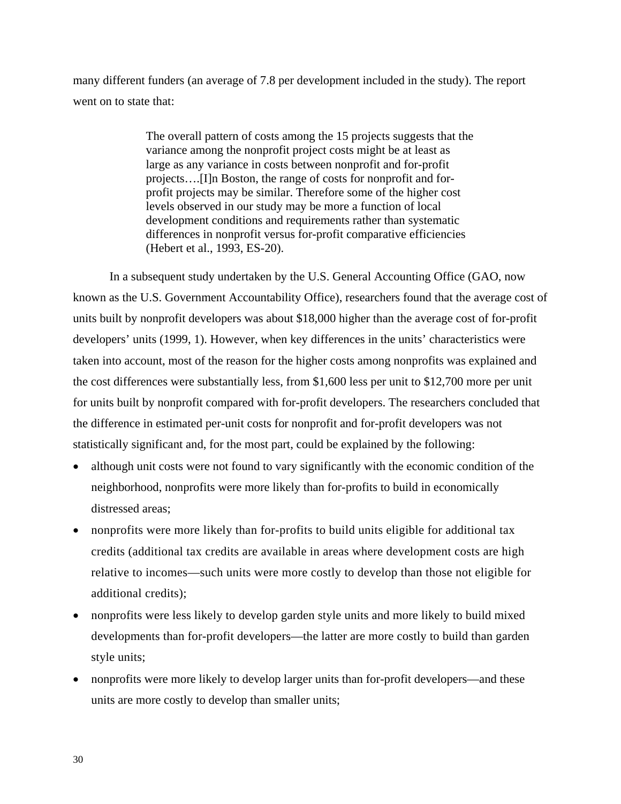many different funders (an average of 7.8 per development included in the study). The report went on to state that:

> The overall pattern of costs among the 15 projects suggests that the variance among the nonprofit project costs might be at least as large as any variance in costs between nonprofit and for-profit projects….[I]n Boston, the range of costs for nonprofit and forprofit projects may be similar. Therefore some of the higher cost levels observed in our study may be more a function of local development conditions and requirements rather than systematic differences in nonprofit versus for-profit comparative efficiencies (Hebert et al., 1993, ES-20).

In a subsequent study undertaken by the U.S. General Accounting Office (GAO, now known as the U.S. Government Accountability Office), researchers found that the average cost of units built by nonprofit developers was about \$18,000 higher than the average cost of for-profit developers' units (1999, 1). However, when key differences in the units' characteristics were taken into account, most of the reason for the higher costs among nonprofits was explained and the cost differences were substantially less, from \$1,600 less per unit to \$12,700 more per unit for units built by nonprofit compared with for-profit developers. The researchers concluded that the difference in estimated per-unit costs for nonprofit and for-profit developers was not statistically significant and, for the most part, could be explained by the following:

- although unit costs were not found to vary significantly with the economic condition of the neighborhood, nonprofits were more likely than for-profits to build in economically distressed areas;
- nonprofits were more likely than for-profits to build units eligible for additional tax credits (additional tax credits are available in areas where development costs are high relative to incomes—such units were more costly to develop than those not eligible for additional credits);
- nonprofits were less likely to develop garden style units and more likely to build mixed developments than for-profit developers—the latter are more costly to build than garden style units;
- nonprofits were more likely to develop larger units than for-profit developers—and these units are more costly to develop than smaller units;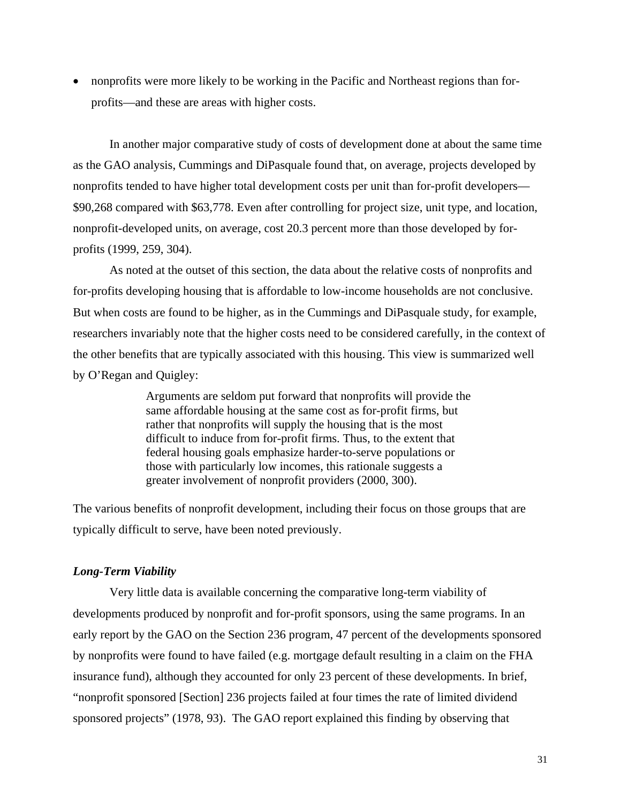• nonprofits were more likely to be working in the Pacific and Northeast regions than forprofits—and these are areas with higher costs.

In another major comparative study of costs of development done at about the same time as the GAO analysis, Cummings and DiPasquale found that, on average, projects developed by nonprofits tended to have higher total development costs per unit than for-profit developers— \$90,268 compared with \$63,778. Even after controlling for project size, unit type, and location, nonprofit-developed units, on average, cost 20.3 percent more than those developed by forprofits (1999, 259, 304).

As noted at the outset of this section, the data about the relative costs of nonprofits and for-profits developing housing that is affordable to low-income households are not conclusive. But when costs are found to be higher, as in the Cummings and DiPasquale study, for example, researchers invariably note that the higher costs need to be considered carefully, in the context of the other benefits that are typically associated with this housing. This view is summarized well by O'Regan and Quigley:

> Arguments are seldom put forward that nonprofits will provide the same affordable housing at the same cost as for-profit firms, but rather that nonprofits will supply the housing that is the most difficult to induce from for-profit firms. Thus, to the extent that federal housing goals emphasize harder-to-serve populations or those with particularly low incomes, this rationale suggests a greater involvement of nonprofit providers (2000, 300).

The various benefits of nonprofit development, including their focus on those groups that are typically difficult to serve, have been noted previously.

## *Long-Term Viability*

Very little data is available concerning the comparative long-term viability of developments produced by nonprofit and for-profit sponsors, using the same programs. In an early report by the GAO on the Section 236 program, 47 percent of the developments sponsored by nonprofits were found to have failed (e.g. mortgage default resulting in a claim on the FHA insurance fund), although they accounted for only 23 percent of these developments. In brief, "nonprofit sponsored [Section] 236 projects failed at four times the rate of limited dividend sponsored projects" (1978, 93). The GAO report explained this finding by observing that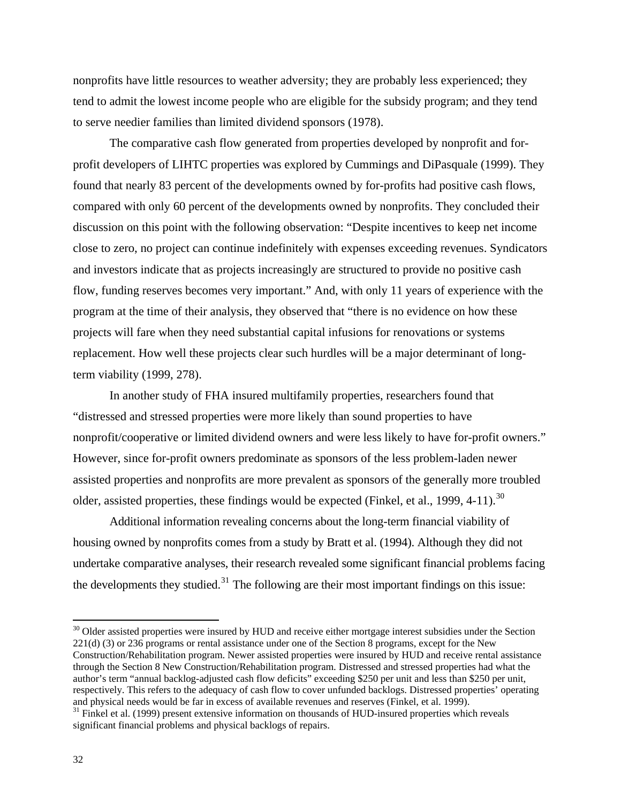nonprofits have little resources to weather adversity; they are probably less experienced; they tend to admit the lowest income people who are eligible for the subsidy program; and they tend to serve needier families than limited dividend sponsors (1978).

 The comparative cash flow generated from properties developed by nonprofit and forprofit developers of LIHTC properties was explored by Cummings and DiPasquale (1999). They found that nearly 83 percent of the developments owned by for-profits had positive cash flows, compared with only 60 percent of the developments owned by nonprofits. They concluded their discussion on this point with the following observation: "Despite incentives to keep net income close to zero, no project can continue indefinitely with expenses exceeding revenues. Syndicators and investors indicate that as projects increasingly are structured to provide no positive cash flow, funding reserves becomes very important." And, with only 11 years of experience with the program at the time of their analysis, they observed that "there is no evidence on how these projects will fare when they need substantial capital infusions for renovations or systems replacement. How well these projects clear such hurdles will be a major determinant of longterm viability (1999, 278).

 In another study of FHA insured multifamily properties, researchers found that "distressed and stressed properties were more likely than sound properties to have nonprofit/cooperative or limited dividend owners and were less likely to have for-profit owners." However, since for-profit owners predominate as sponsors of the less problem-laden newer assisted properties and nonprofits are more prevalent as sponsors of the generally more troubled older, assisted properties, these findings would be expected (Finkel, et al., 1999, 4-11).<sup>[30](#page-37-0)</sup>

 Additional information revealing concerns about the long-term financial viability of housing owned by nonprofits comes from a study by Bratt et al. (1994). Although they did not undertake comparative analyses, their research revealed some significant financial problems facing the developments they studied. $31$  The following are their most important findings on this issue:

<span id="page-37-0"></span> $30$  Older assisted properties were insured by HUD and receive either mortgage interest subsidies under the Section 221(d) (3) or 236 programs or rental assistance under one of the Section 8 programs, except for the New Construction/Rehabilitation program. Newer assisted properties were insured by HUD and receive rental assistance through the Section 8 New Construction/Rehabilitation program. Distressed and stressed properties had what the author's term "annual backlog-adjusted cash flow deficits" exceeding \$250 per unit and less than \$250 per unit, respectively. This refers to the adequacy of cash flow to cover unfunded backlogs. Distressed properties' operating and physical needs would be far in excess of available revenues and reserves (Finkel, et al. 1999).

<span id="page-37-1"></span> $31$  Finkel et al. (1999) present extensive information on thousands of HUD-insured properties which reveals significant financial problems and physical backlogs of repairs.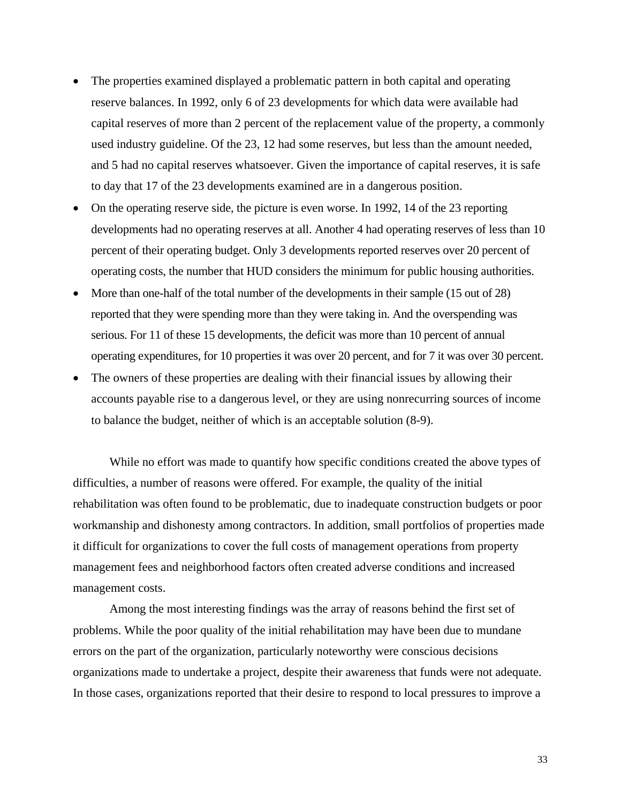- The properties examined displayed a problematic pattern in both capital and operating reserve balances. In 1992, only 6 of 23 developments for which data were available had capital reserves of more than 2 percent of the replacement value of the property, a commonly used industry guideline. Of the 23, 12 had some reserves, but less than the amount needed, and 5 had no capital reserves whatsoever. Given the importance of capital reserves, it is safe to day that 17 of the 23 developments examined are in a dangerous position.
- On the operating reserve side, the picture is even worse. In 1992, 14 of the 23 reporting developments had no operating reserves at all. Another 4 had operating reserves of less than 10 percent of their operating budget. Only 3 developments reported reserves over 20 percent of operating costs, the number that HUD considers the minimum for public housing authorities.
- More than one-half of the total number of the developments in their sample (15 out of 28) reported that they were spending more than they were taking in. And the overspending was serious. For 11 of these 15 developments, the deficit was more than 10 percent of annual operating expenditures, for 10 properties it was over 20 percent, and for 7 it was over 30 percent.
- The owners of these properties are dealing with their financial issues by allowing their accounts payable rise to a dangerous level, or they are using nonrecurring sources of income to balance the budget, neither of which is an acceptable solution (8-9).

While no effort was made to quantify how specific conditions created the above types of difficulties, a number of reasons were offered. For example, the quality of the initial rehabilitation was often found to be problematic, due to inadequate construction budgets or poor workmanship and dishonesty among contractors. In addition, small portfolios of properties made it difficult for organizations to cover the full costs of management operations from property management fees and neighborhood factors often created adverse conditions and increased management costs.

Among the most interesting findings was the array of reasons behind the first set of problems. While the poor quality of the initial rehabilitation may have been due to mundane errors on the part of the organization, particularly noteworthy were conscious decisions organizations made to undertake a project, despite their awareness that funds were not adequate. In those cases, organizations reported that their desire to respond to local pressures to improve a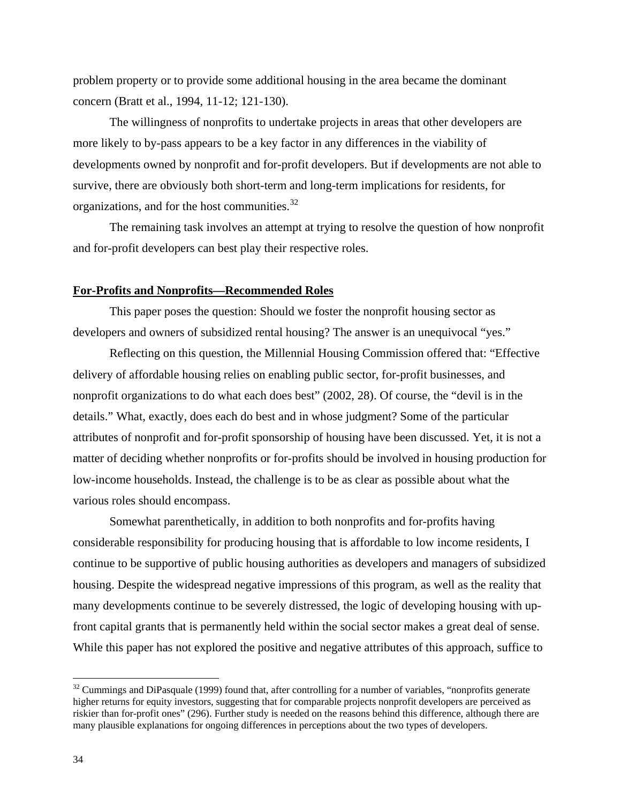problem property or to provide some additional housing in the area became the dominant concern (Bratt et al., 1994, 11-12; 121-130).

The willingness of nonprofits to undertake projects in areas that other developers are more likely to by-pass appears to be a key factor in any differences in the viability of developments owned by nonprofit and for-profit developers. But if developments are not able to survive, there are obviously both short-term and long-term implications for residents, for organizations, and for the host communities.[32](#page-39-0)

The remaining task involves an attempt at trying to resolve the question of how nonprofit and for-profit developers can best play their respective roles.

#### **For-Profits and Nonprofits—Recommended Roles**

This paper poses the question: Should we foster the nonprofit housing sector as developers and owners of subsidized rental housing? The answer is an unequivocal "yes."

Reflecting on this question, the Millennial Housing Commission offered that: "Effective delivery of affordable housing relies on enabling public sector, for-profit businesses, and nonprofit organizations to do what each does best" (2002, 28). Of course, the "devil is in the details." What, exactly, does each do best and in whose judgment? Some of the particular attributes of nonprofit and for-profit sponsorship of housing have been discussed. Yet, it is not a matter of deciding whether nonprofits or for-profits should be involved in housing production for low-income households. Instead, the challenge is to be as clear as possible about what the various roles should encompass.

Somewhat parenthetically, in addition to both nonprofits and for-profits having considerable responsibility for producing housing that is affordable to low income residents, I continue to be supportive of public housing authorities as developers and managers of subsidized housing. Despite the widespread negative impressions of this program, as well as the reality that many developments continue to be severely distressed, the logic of developing housing with upfront capital grants that is permanently held within the social sector makes a great deal of sense. While this paper has not explored the positive and negative attributes of this approach, suffice to

<span id="page-39-0"></span> $32$  Cummings and DiPasquale (1999) found that, after controlling for a number of variables, "nonprofits generate higher returns for equity investors, suggesting that for comparable projects nonprofit developers are perceived as riskier than for-profit ones" (296). Further study is needed on the reasons behind this difference, although there are many plausible explanations for ongoing differences in perceptions about the two types of developers.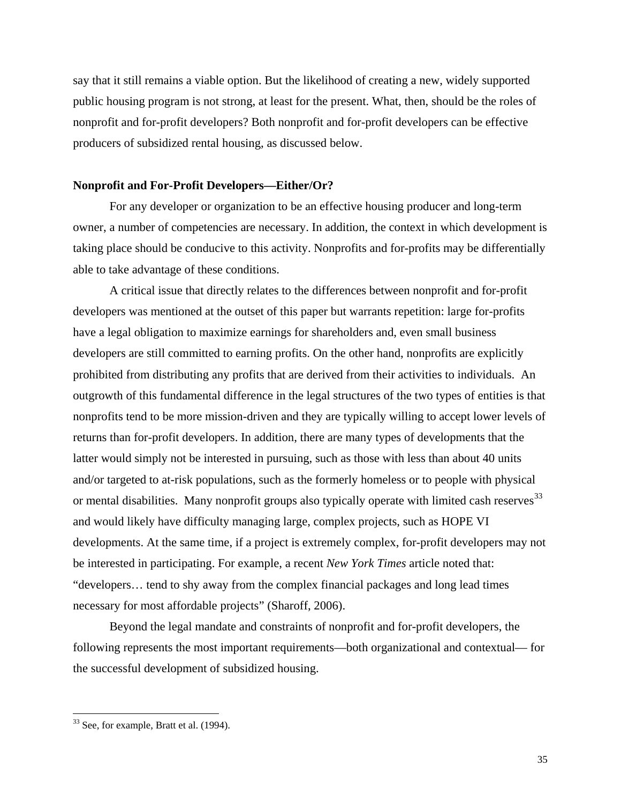say that it still remains a viable option. But the likelihood of creating a new, widely supported public housing program is not strong, at least for the present. What, then, should be the roles of nonprofit and for-profit developers? Both nonprofit and for-profit developers can be effective producers of subsidized rental housing, as discussed below.

#### **Nonprofit and For-Profit Developers—Either/Or?**

For any developer or organization to be an effective housing producer and long-term owner, a number of competencies are necessary. In addition, the context in which development is taking place should be conducive to this activity. Nonprofits and for-profits may be differentially able to take advantage of these conditions.

A critical issue that directly relates to the differences between nonprofit and for-profit developers was mentioned at the outset of this paper but warrants repetition: large for-profits have a legal obligation to maximize earnings for shareholders and, even small business developers are still committed to earning profits. On the other hand, nonprofits are explicitly prohibited from distributing any profits that are derived from their activities to individuals. An outgrowth of this fundamental difference in the legal structures of the two types of entities is that nonprofits tend to be more mission-driven and they are typically willing to accept lower levels of returns than for-profit developers. In addition, there are many types of developments that the latter would simply not be interested in pursuing, such as those with less than about 40 units and/or targeted to at-risk populations, such as the formerly homeless or to people with physical or mental disabilities. Many nonprofit groups also typically operate with limited cash reserves<sup>[33](#page-40-0)</sup> and would likely have difficulty managing large, complex projects, such as HOPE VI developments. At the same time, if a project is extremely complex, for-profit developers may not be interested in participating. For example, a recent *New York Times* article noted that: "developers… tend to shy away from the complex financial packages and long lead times necessary for most affordable projects" (Sharoff, 2006).

Beyond the legal mandate and constraints of nonprofit and for-profit developers, the following represents the most important requirements—both organizational and contextual— for the successful development of subsidized housing.

<u>.</u>

<span id="page-40-0"></span> $33$  See, for example, Bratt et al. (1994).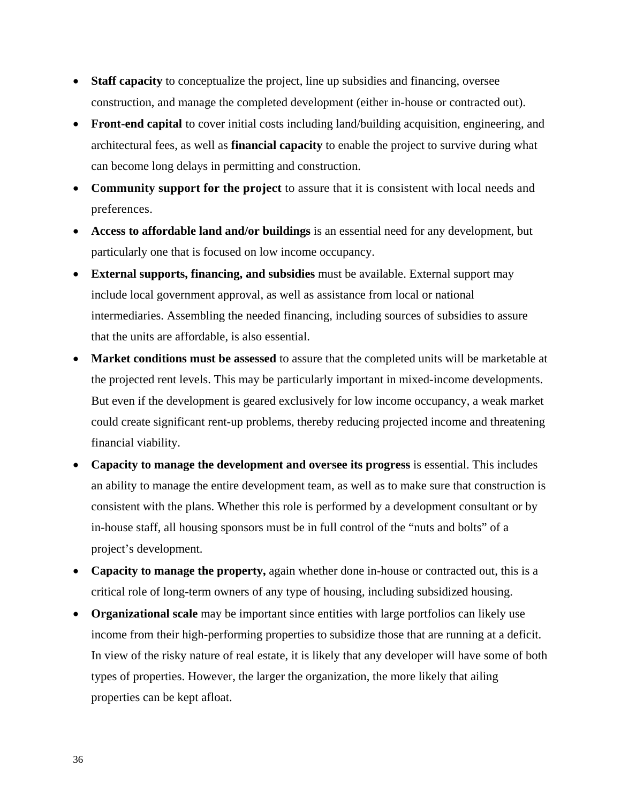- **Staff capacity** to conceptualize the project, line up subsidies and financing, oversee construction, and manage the completed development (either in-house or contracted out).
- **Front-end capital** to cover initial costs including land/building acquisition, engineering, and architectural fees, as well as **financial capacity** to enable the project to survive during what can become long delays in permitting and construction.
- **Community support for the project** to assure that it is consistent with local needs and preferences.
- **Access to affordable land and/or buildings** is an essential need for any development, but particularly one that is focused on low income occupancy.
- **External supports, financing, and subsidies** must be available. External support may include local government approval, as well as assistance from local or national intermediaries. Assembling the needed financing, including sources of subsidies to assure that the units are affordable, is also essential.
- **Market conditions must be assessed** to assure that the completed units will be marketable at the projected rent levels. This may be particularly important in mixed-income developments. But even if the development is geared exclusively for low income occupancy, a weak market could create significant rent-up problems, thereby reducing projected income and threatening financial viability.
- **Capacity to manage the development and oversee its progress** is essential. This includes an ability to manage the entire development team, as well as to make sure that construction is consistent with the plans. Whether this role is performed by a development consultant or by in-house staff, all housing sponsors must be in full control of the "nuts and bolts" of a project's development.
- **Capacity to manage the property,** again whether done in-house or contracted out, this is a critical role of long-term owners of any type of housing, including subsidized housing.
- **Organizational scale** may be important since entities with large portfolios can likely use income from their high-performing properties to subsidize those that are running at a deficit. In view of the risky nature of real estate, it is likely that any developer will have some of both types of properties. However, the larger the organization, the more likely that ailing properties can be kept afloat.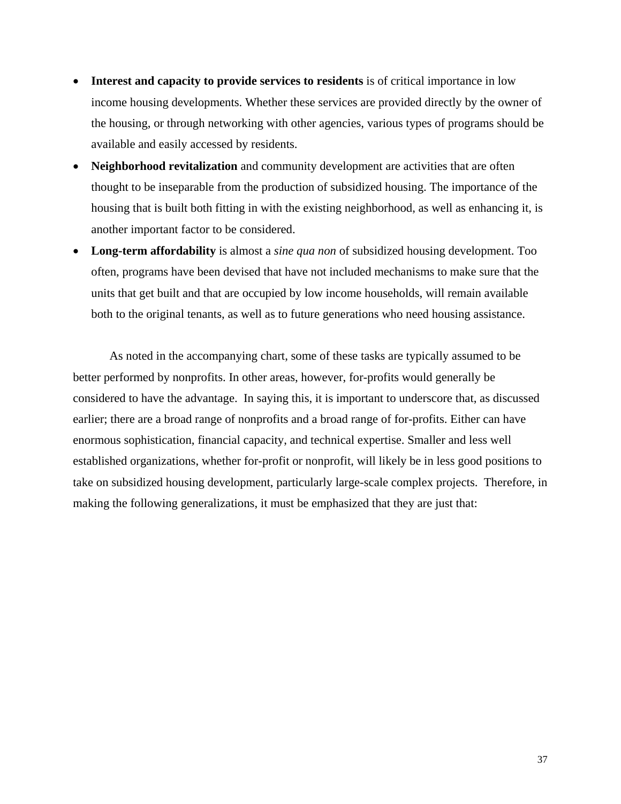- **Interest and capacity to provide services to residents** is of critical importance in low income housing developments. Whether these services are provided directly by the owner of the housing, or through networking with other agencies, various types of programs should be available and easily accessed by residents.
- **Neighborhood revitalization** and community development are activities that are often thought to be inseparable from the production of subsidized housing. The importance of the housing that is built both fitting in with the existing neighborhood, as well as enhancing it, is another important factor to be considered.
- **Long-term affordability** is almost a *sine qua non* of subsidized housing development. Too often, programs have been devised that have not included mechanisms to make sure that the units that get built and that are occupied by low income households, will remain available both to the original tenants, as well as to future generations who need housing assistance.

As noted in the accompanying chart, some of these tasks are typically assumed to be better performed by nonprofits. In other areas, however, for-profits would generally be considered to have the advantage. In saying this, it is important to underscore that, as discussed earlier; there are a broad range of nonprofits and a broad range of for-profits. Either can have enormous sophistication, financial capacity, and technical expertise. Smaller and less well established organizations, whether for-profit or nonprofit, will likely be in less good positions to take on subsidized housing development, particularly large-scale complex projects. Therefore, in making the following generalizations, it must be emphasized that they are just that: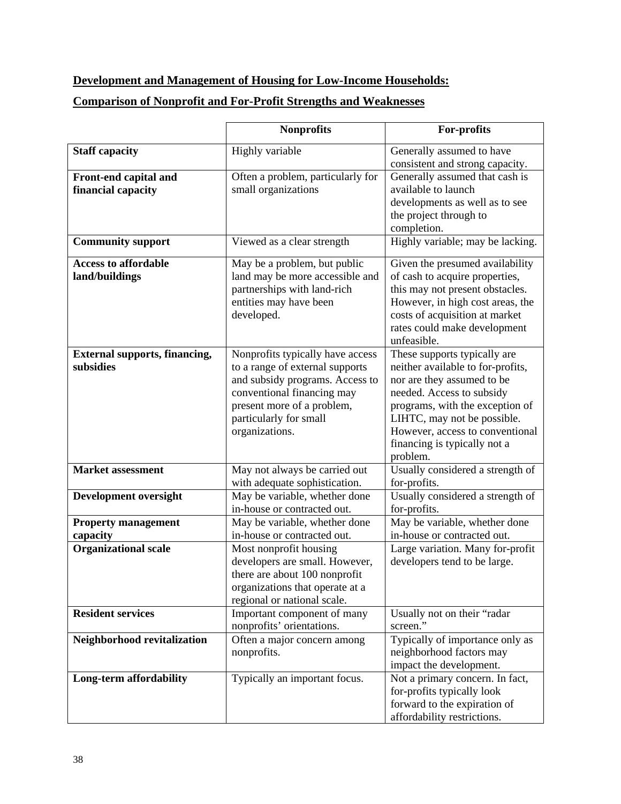# **Development and Management of Housing for Low-Income Households:**

## **Comparison of Nonprofit and For-Profit Strengths and Weaknesses**

|                                                   | <b>Nonprofits</b>                                                                                                                                                                                              | For-profits                                                                                                                                                                                                                                                                   |
|---------------------------------------------------|----------------------------------------------------------------------------------------------------------------------------------------------------------------------------------------------------------------|-------------------------------------------------------------------------------------------------------------------------------------------------------------------------------------------------------------------------------------------------------------------------------|
| <b>Staff capacity</b>                             | Highly variable                                                                                                                                                                                                | Generally assumed to have<br>consistent and strong capacity.                                                                                                                                                                                                                  |
| Front-end capital and<br>financial capacity       | Often a problem, particularly for<br>small organizations                                                                                                                                                       | Generally assumed that cash is<br>available to launch<br>developments as well as to see<br>the project through to<br>completion.                                                                                                                                              |
| <b>Community support</b>                          | Viewed as a clear strength                                                                                                                                                                                     | Highly variable; may be lacking.                                                                                                                                                                                                                                              |
| <b>Access to affordable</b><br>land/buildings     | May be a problem, but public<br>land may be more accessible and<br>partnerships with land-rich<br>entities may have been<br>developed.                                                                         | Given the presumed availability<br>of cash to acquire properties,<br>this may not present obstacles.<br>However, in high cost areas, the<br>costs of acquisition at market<br>rates could make development<br>unfeasible.                                                     |
| <b>External supports, financing,</b><br>subsidies | Nonprofits typically have access<br>to a range of external supports<br>and subsidy programs. Access to<br>conventional financing may<br>present more of a problem,<br>particularly for small<br>organizations. | These supports typically are<br>neither available to for-profits,<br>nor are they assumed to be<br>needed. Access to subsidy<br>programs, with the exception of<br>LIHTC, may not be possible.<br>However, access to conventional<br>financing is typically not a<br>problem. |
| <b>Market</b> assessment                          | May not always be carried out<br>with adequate sophistication.                                                                                                                                                 | Usually considered a strength of<br>for-profits.                                                                                                                                                                                                                              |
| <b>Development oversight</b>                      | May be variable, whether done<br>in-house or contracted out.                                                                                                                                                   | Usually considered a strength of<br>for-profits.                                                                                                                                                                                                                              |
| <b>Property management</b><br>capacity            | May be variable, whether done<br>in-house or contracted out.                                                                                                                                                   | May be variable, whether done<br>in-house or contracted out.                                                                                                                                                                                                                  |
| <b>Organizational scale</b>                       | Most nonprofit housing<br>developers are small. However,<br>there are about 100 nonprofit<br>organizations that operate at a<br>regional or national scale.                                                    | Large variation. Many for-profit<br>developers tend to be large.                                                                                                                                                                                                              |
| <b>Resident services</b>                          | Important component of many<br>nonprofits' orientations.                                                                                                                                                       | Usually not on their "radar<br>screen."                                                                                                                                                                                                                                       |
| Neighborhood revitalization                       | Often a major concern among<br>nonprofits.                                                                                                                                                                     | Typically of importance only as<br>neighborhood factors may<br>impact the development.                                                                                                                                                                                        |
| Long-term affordability                           | Typically an important focus.                                                                                                                                                                                  | Not a primary concern. In fact,<br>for-profits typically look<br>forward to the expiration of<br>affordability restrictions.                                                                                                                                                  |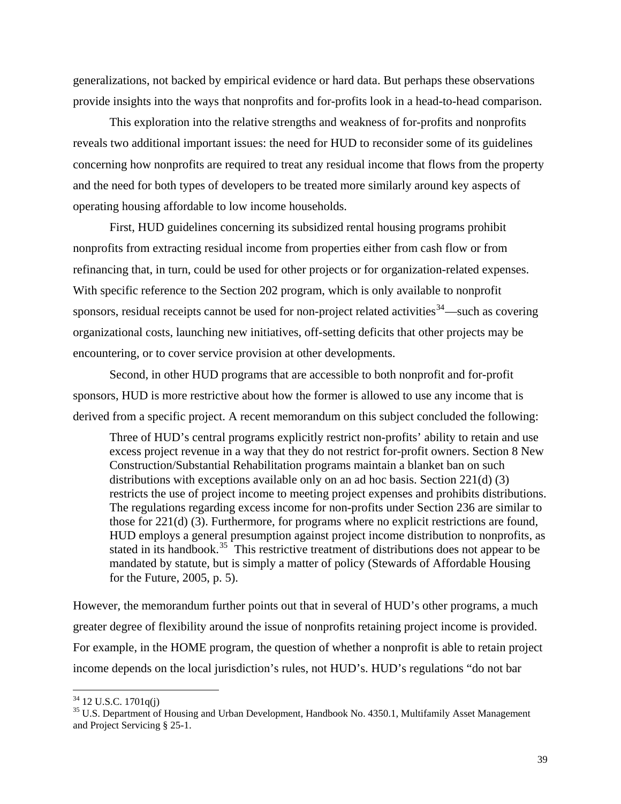generalizations, not backed by empirical evidence or hard data. But perhaps these observations provide insights into the ways that nonprofits and for-profits look in a head-to-head comparison.

This exploration into the relative strengths and weakness of for-profits and nonprofits reveals two additional important issues: the need for HUD to reconsider some of its guidelines concerning how nonprofits are required to treat any residual income that flows from the property and the need for both types of developers to be treated more similarly around key aspects of operating housing affordable to low income households.

First, HUD guidelines concerning its subsidized rental housing programs prohibit nonprofits from extracting residual income from properties either from cash flow or from refinancing that, in turn, could be used for other projects or for organization-related expenses. With specific reference to the Section 202 program, which is only available to nonprofit sponsors, residual receipts cannot be used for non-project related activities<sup>[34](#page-44-0)</sup>—such as covering organizational costs, launching new initiatives, off-setting deficits that other projects may be encountering, or to cover service provision at other developments.

Second, in other HUD programs that are accessible to both nonprofit and for-profit sponsors, HUD is more restrictive about how the former is allowed to use any income that is derived from a specific project. A recent memorandum on this subject concluded the following:

Three of HUD's central programs explicitly restrict non-profits' ability to retain and use excess project revenue in a way that they do not restrict for-profit owners. Section 8 New Construction/Substantial Rehabilitation programs maintain a blanket ban on such distributions with exceptions available only on an ad hoc basis. Section 221(d) (3) restricts the use of project income to meeting project expenses and prohibits distributions. The regulations regarding excess income for non-profits under Section 236 are similar to those for 221(d) (3). Furthermore, for programs where no explicit restrictions are found, HUD employs a general presumption against project income distribution to nonprofits, as stated in its handbook.<sup>[35](#page-44-1)</sup> This restrictive treatment of distributions does not appear to be mandated by statute, but is simply a matter of policy (Stewards of Affordable Housing for the Future, 2005, p. 5).

However, the memorandum further points out that in several of HUD's other programs, a much greater degree of flexibility around the issue of nonprofits retaining project income is provided. For example, in the HOME program, the question of whether a nonprofit is able to retain project income depends on the local jurisdiction's rules, not HUD's. HUD's regulations "do not bar

<span id="page-44-0"></span> $34$  12 U.S.C. 1701 $q(i)$ 

<span id="page-44-1"></span><sup>&</sup>lt;sup>35</sup> U.S. Department of Housing and Urban Development, Handbook No. 4350.1, Multifamily Asset Management and Project Servicing § 25-1.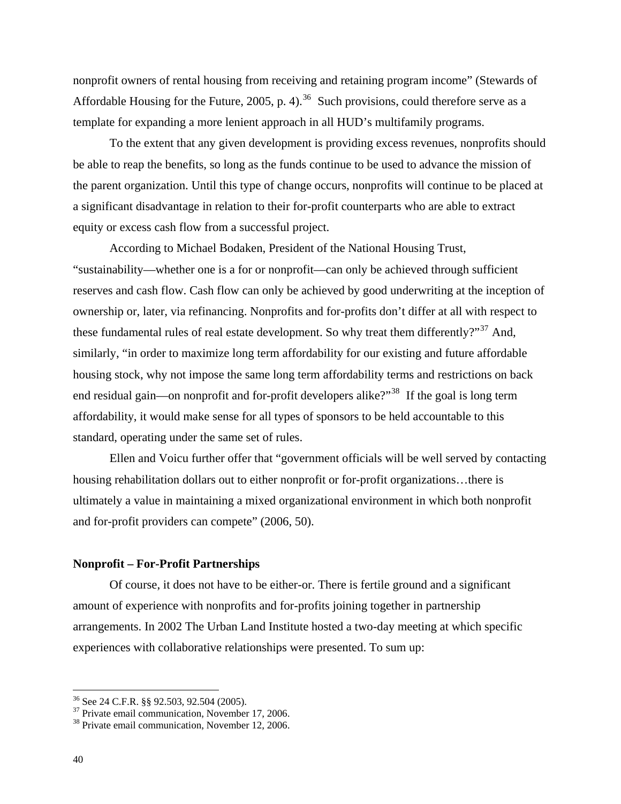nonprofit owners of rental housing from receiving and retaining program income" (Stewards of Affordable Housing for the Future, 2005, p. 4).<sup>[36](#page-45-0)</sup> Such provisions, could therefore serve as a template for expanding a more lenient approach in all HUD's multifamily programs.

To the extent that any given development is providing excess revenues, nonprofits should be able to reap the benefits, so long as the funds continue to be used to advance the mission of the parent organization. Until this type of change occurs, nonprofits will continue to be placed at a significant disadvantage in relation to their for-profit counterparts who are able to extract equity or excess cash flow from a successful project.

According to Michael Bodaken, President of the National Housing Trust, "sustainability—whether one is a for or nonprofit—can only be achieved through sufficient reserves and cash flow. Cash flow can only be achieved by good underwriting at the inception of ownership or, later, via refinancing. Nonprofits and for-profits don't differ at all with respect to these fundamental rules of real estate development. So why treat them differently?"<sup>[37](#page-45-1)</sup> And, similarly, "in order to maximize long term affordability for our existing and future affordable housing stock, why not impose the same long term affordability terms and restrictions on back end residual gain—on nonprofit and for-profit developers alike?"<sup>[38](#page-45-2)</sup> If the goal is long term affordability, it would make sense for all types of sponsors to be held accountable to this standard, operating under the same set of rules.

Ellen and Voicu further offer that "government officials will be well served by contacting housing rehabilitation dollars out to either nonprofit or for-profit organizations…there is ultimately a value in maintaining a mixed organizational environment in which both nonprofit and for-profit providers can compete" (2006, 50).

### **Nonprofit – For-Profit Partnerships**

Of course, it does not have to be either-or. There is fertile ground and a significant amount of experience with nonprofits and for-profits joining together in partnership arrangements. In 2002 The Urban Land Institute hosted a two-day meeting at which specific experiences with collaborative relationships were presented. To sum up:

<sup>36</sup> See 24 C.F.R. §§ 92.503, 92.504 (2005).

<span id="page-45-1"></span><span id="page-45-0"></span> $37$  Private email communication, November 17, 2006.<br> $38$  Private email communication, November 12, 2006.

<span id="page-45-2"></span>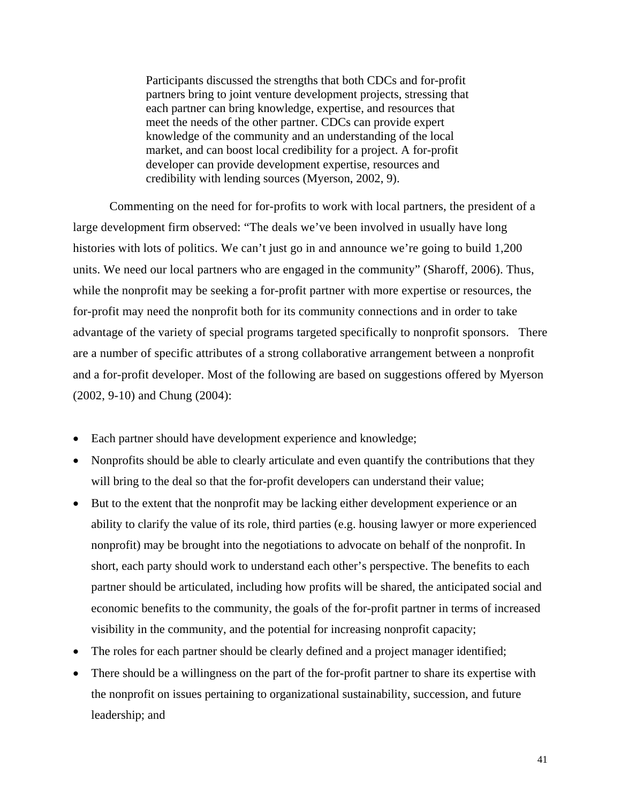Participants discussed the strengths that both CDCs and for-profit partners bring to joint venture development projects, stressing that each partner can bring knowledge, expertise, and resources that meet the needs of the other partner. CDCs can provide expert knowledge of the community and an understanding of the local market, and can boost local credibility for a project. A for-profit developer can provide development expertise, resources and credibility with lending sources (Myerson, 2002, 9).

Commenting on the need for for-profits to work with local partners, the president of a large development firm observed: "The deals we've been involved in usually have long histories with lots of politics. We can't just go in and announce we're going to build 1,200 units. We need our local partners who are engaged in the community" (Sharoff, 2006). Thus, while the nonprofit may be seeking a for-profit partner with more expertise or resources, the for-profit may need the nonprofit both for its community connections and in order to take advantage of the variety of special programs targeted specifically to nonprofit sponsors. There are a number of specific attributes of a strong collaborative arrangement between a nonprofit and a for-profit developer. Most of the following are based on suggestions offered by Myerson (2002, 9-10) and Chung (2004):

- Each partner should have development experience and knowledge;
- Nonprofits should be able to clearly articulate and even quantify the contributions that they will bring to the deal so that the for-profit developers can understand their value;
- But to the extent that the nonprofit may be lacking either development experience or an ability to clarify the value of its role, third parties (e.g. housing lawyer or more experienced nonprofit) may be brought into the negotiations to advocate on behalf of the nonprofit. In short, each party should work to understand each other's perspective. The benefits to each partner should be articulated, including how profits will be shared, the anticipated social and economic benefits to the community, the goals of the for-profit partner in terms of increased visibility in the community, and the potential for increasing nonprofit capacity;
- The roles for each partner should be clearly defined and a project manager identified;
- There should be a willingness on the part of the for-profit partner to share its expertise with the nonprofit on issues pertaining to organizational sustainability, succession, and future leadership; and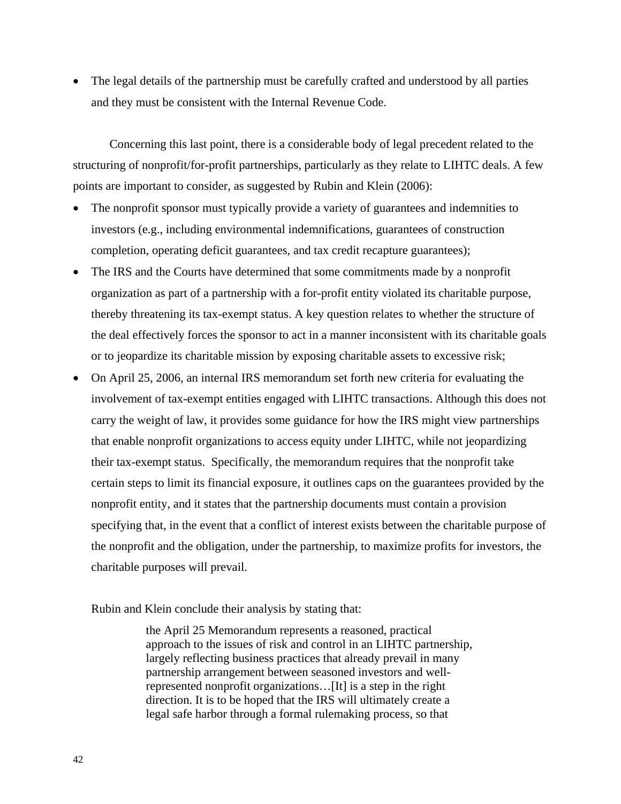• The legal details of the partnership must be carefully crafted and understood by all parties and they must be consistent with the Internal Revenue Code.

Concerning this last point, there is a considerable body of legal precedent related to the structuring of nonprofit/for-profit partnerships, particularly as they relate to LIHTC deals. A few points are important to consider, as suggested by Rubin and Klein (2006):

- The nonprofit sponsor must typically provide a variety of guarantees and indemnities to investors (e.g., including environmental indemnifications, guarantees of construction completion, operating deficit guarantees, and tax credit recapture guarantees);
- The IRS and the Courts have determined that some commitments made by a nonprofit organization as part of a partnership with a for-profit entity violated its charitable purpose, thereby threatening its tax-exempt status. A key question relates to whether the structure of the deal effectively forces the sponsor to act in a manner inconsistent with its charitable goals or to jeopardize its charitable mission by exposing charitable assets to excessive risk;
- On April 25, 2006, an internal IRS memorandum set forth new criteria for evaluating the involvement of tax-exempt entities engaged with LIHTC transactions. Although this does not carry the weight of law, it provides some guidance for how the IRS might view partnerships that enable nonprofit organizations to access equity under LIHTC, while not jeopardizing their tax-exempt status. Specifically, the memorandum requires that the nonprofit take certain steps to limit its financial exposure, it outlines caps on the guarantees provided by the nonprofit entity, and it states that the partnership documents must contain a provision specifying that, in the event that a conflict of interest exists between the charitable purpose of the nonprofit and the obligation, under the partnership, to maximize profits for investors, the charitable purposes will prevail.

Rubin and Klein conclude their analysis by stating that:

the April 25 Memorandum represents a reasoned, practical approach to the issues of risk and control in an LIHTC partnership, largely reflecting business practices that already prevail in many partnership arrangement between seasoned investors and wellrepresented nonprofit organizations…[It] is a step in the right direction. It is to be hoped that the IRS will ultimately create a legal safe harbor through a formal rulemaking process, so that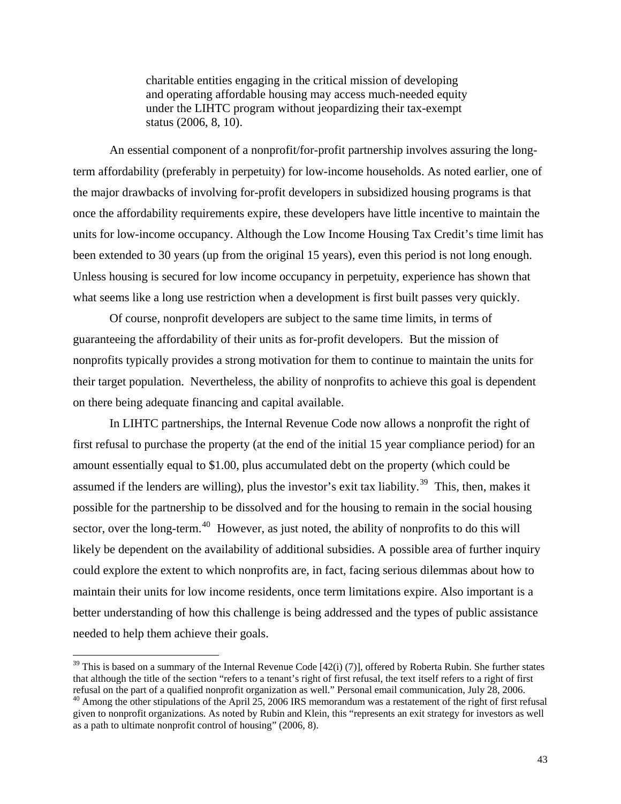charitable entities engaging in the critical mission of developing and operating affordable housing may access much-needed equity under the LIHTC program without jeopardizing their tax-exempt status (2006, 8, 10).

An essential component of a nonprofit/for-profit partnership involves assuring the longterm affordability (preferably in perpetuity) for low-income households. As noted earlier, one of the major drawbacks of involving for-profit developers in subsidized housing programs is that once the affordability requirements expire, these developers have little incentive to maintain the units for low-income occupancy. Although the Low Income Housing Tax Credit's time limit has been extended to 30 years (up from the original 15 years), even this period is not long enough. Unless housing is secured for low income occupancy in perpetuity, experience has shown that what seems like a long use restriction when a development is first built passes very quickly.

Of course, nonprofit developers are subject to the same time limits, in terms of guaranteeing the affordability of their units as for-profit developers. But the mission of nonprofits typically provides a strong motivation for them to continue to maintain the units for their target population. Nevertheless, the ability of nonprofits to achieve this goal is dependent on there being adequate financing and capital available.

In LIHTC partnerships, the Internal Revenue Code now allows a nonprofit the right of first refusal to purchase the property (at the end of the initial 15 year compliance period) for an amount essentially equal to \$1.00, plus accumulated debt on the property (which could be assumed if the lenders are willing), plus the investor's exit tax liability.<sup>[39](#page-48-0)</sup> This, then, makes it possible for the partnership to be dissolved and for the housing to remain in the social housing sector, over the long-term.<sup>[40](#page-48-1)</sup> However, as just noted, the ability of nonprofits to do this will likely be dependent on the availability of additional subsidies. A possible area of further inquiry could explore the extent to which nonprofits are, in fact, facing serious dilemmas about how to maintain their units for low income residents, once term limitations expire. Also important is a better understanding of how this challenge is being addressed and the types of public assistance needed to help them achieve their goals.

<span id="page-48-0"></span><sup>&</sup>lt;sup>39</sup> This is based on a summary of the Internal Revenue Code  $[42(i) (7)]$ , offered by Roberta Rubin. She further states that although the title of the section "refers to a tenant's right of first refusal, the text itself refers to a right of first refusal on the part of a qualified nonprofit organization as well." Personal email communication, July 28, 2006.

<span id="page-48-1"></span><sup>&</sup>lt;sup>40</sup> Among the other stipulations of the April 25, 2006 IRS memorandum was a restatement of the right of first refusal given to nonprofit organizations. As noted by Rubin and Klein, this "represents an exit strategy for investors as well as a path to ultimate nonprofit control of housing" (2006, 8).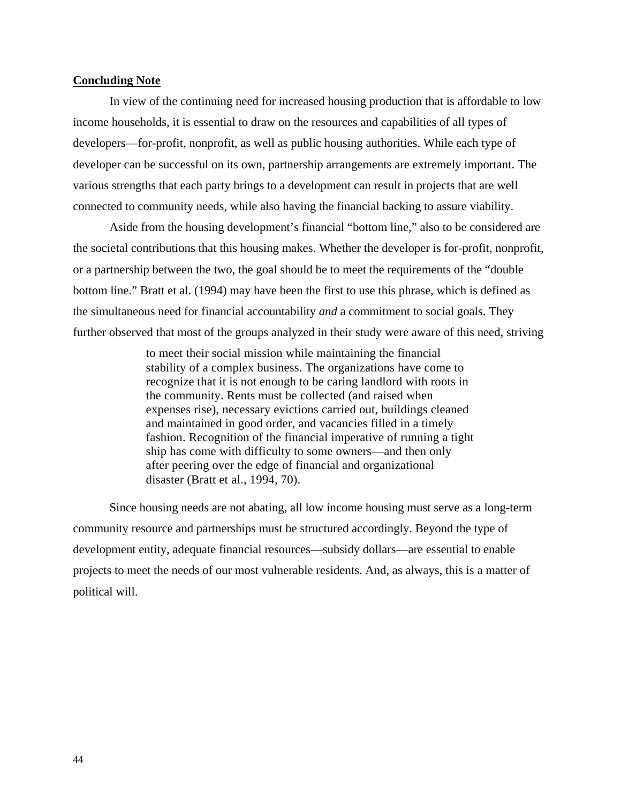#### **Concluding Note**

In view of the continuing need for increased housing production that is affordable to low income households, it is essential to draw on the resources and capabilities of all types of developers—for-profit, nonprofit, as well as public housing authorities. While each type of developer can be successful on its own, partnership arrangements are extremely important. The various strengths that each party brings to a development can result in projects that are well connected to community needs, while also having the financial backing to assure viability.

Aside from the housing development's financial "bottom line," also to be considered are the societal contributions that this housing makes. Whether the developer is for-profit, nonprofit, or a partnership between the two, the goal should be to meet the requirements of the "double bottom line." Bratt et al. (1994) may have been the first to use this phrase, which is defined as the simultaneous need for financial accountability *and* a commitment to social goals. They further observed that most of the groups analyzed in their study were aware of this need, striving

> to meet their social mission while maintaining the financial stability of a complex business. The organizations have come to recognize that it is not enough to be caring landlord with roots in the community. Rents must be collected (and raised when expenses rise), necessary evictions carried out, buildings cleaned and maintained in good order, and vacancies filled in a timely fashion. Recognition of the financial imperative of running a tight ship has come with difficulty to some owners—and then only after peering over the edge of financial and organizational disaster (Bratt et al., 1994, 70).

Since housing needs are not abating, all low income housing must serve as a long-term community resource and partnerships must be structured accordingly. Beyond the type of development entity, adequate financial resources—subsidy dollars—are essential to enable projects to meet the needs of our most vulnerable residents. And, as always, this is a matter of political will.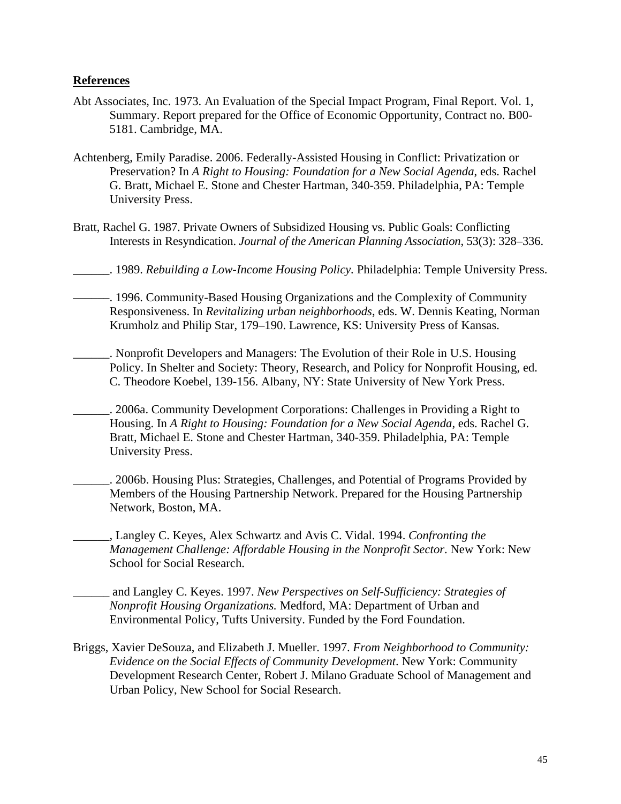## **References**

- Abt Associates, Inc. 1973. An Evaluation of the Special Impact Program, Final Report. Vol. 1, Summary. Report prepared for the Office of Economic Opportunity, Contract no. B00- 5181. Cambridge, MA.
- Achtenberg, Emily Paradise. 2006. Federally-Assisted Housing in Conflict: Privatization or Preservation? In *A Right to Housing: Foundation for a New Social Agenda*, eds. Rachel G. Bratt, Michael E. Stone and Chester Hartman, 340-359. Philadelphia, PA: Temple University Press.
- Bratt, Rachel G. 1987. Private Owners of Subsidized Housing vs. Public Goals: Conflicting Interests in Resyndication. *Journal of the American Planning Association*, 53(3): 328–336.
- \_\_\_\_\_\_. 1989. *Rebuilding a Low-Income Housing Policy.* Philadelphia: Temple University Press.
- ––––––. 1996. Community-Based Housing Organizations and the Complexity of Community Responsiveness. In *Revitalizing urban neighborhoods*, eds. W. Dennis Keating, Norman Krumholz and Philip Star, 179–190. Lawrence, KS: University Press of Kansas.
- \_\_\_\_\_\_. Nonprofit Developers and Managers: The Evolution of their Role in U.S. Housing Policy. In Shelter and Society: Theory, Research, and Policy for Nonprofit Housing, ed. C. Theodore Koebel, 139-156. Albany, NY: State University of New York Press.
	- \_\_\_\_\_\_. 2006a. Community Development Corporations: Challenges in Providing a Right to Housing. In *A Right to Housing: Foundation for a New Social Agenda*, eds. Rachel G. Bratt, Michael E. Stone and Chester Hartman, 340-359. Philadelphia, PA: Temple University Press.
- \_\_\_\_\_\_. 2006b. Housing Plus: Strategies, Challenges, and Potential of Programs Provided by Members of the Housing Partnership Network. Prepared for the Housing Partnership Network, Boston, MA.
- \_\_\_\_\_\_, Langley C. Keyes, Alex Schwartz and Avis C. Vidal. 1994. *Confronting the Management Challenge: Affordable Housing in the Nonprofit Sector*. New York: New School for Social Research.
	- \_\_\_\_\_\_ and Langley C. Keyes. 1997. *New Perspectives on Self-Sufficiency: Strategies of Nonprofit Housing Organizations.* Medford, MA: Department of Urban and Environmental Policy, Tufts University. Funded by the Ford Foundation.
- Briggs, Xavier DeSouza, and Elizabeth J. Mueller. 1997. *From Neighborhood to Community: Evidence on the Social Effects of Community Development*. New York: Community Development Research Center, Robert J. Milano Graduate School of Management and Urban Policy, New School for Social Research.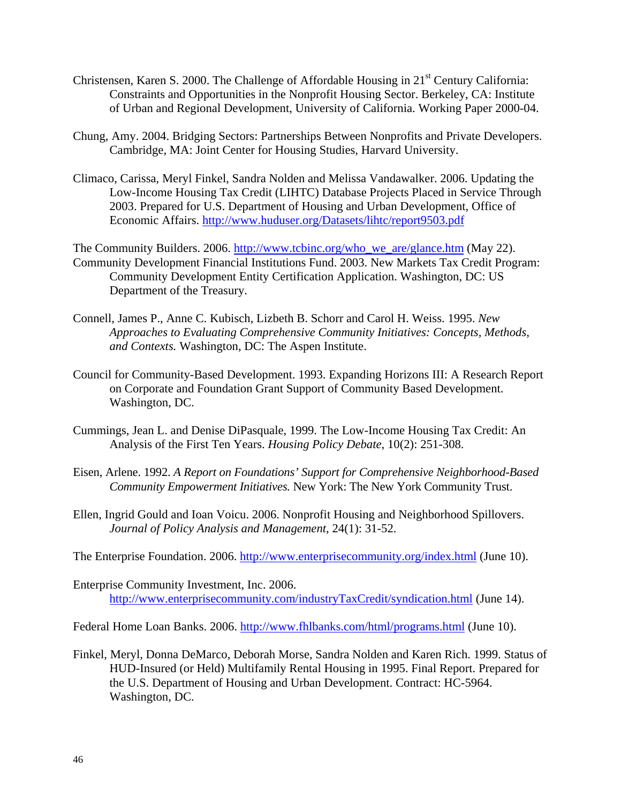- Christensen, Karen S. 2000. The Challenge of Affordable Housing in 21st Century California: Constraints and Opportunities in the Nonprofit Housing Sector. Berkeley, CA: Institute of Urban and Regional Development, University of California. Working Paper 2000-04.
- Chung, Amy. 2004. Bridging Sectors: Partnerships Between Nonprofits and Private Developers. Cambridge, MA: Joint Center for Housing Studies, Harvard University.
- Climaco, Carissa, Meryl Finkel, Sandra Nolden and Melissa Vandawalker. 2006. Updating the Low-Income Housing Tax Credit (LIHTC) Database Projects Placed in Service Through 2003. Prepared for U.S. Department of Housing and Urban Development, Office of Economic Affairs. <http://www.huduser.org/Datasets/lihtc/report9503.pdf>

The Community Builders. 2006. [http://www.tcbinc.org/who\\_we\\_are/glance.htm](http://www.tcbinc.org/who_we_are/glance.htm) (May 22). Community Development Financial Institutions Fund. 2003. New Markets Tax Credit Program: Community Development Entity Certification Application. Washington, DC: US Department of the Treasury.

- Connell, James P., Anne C. Kubisch, Lizbeth B. Schorr and Carol H. Weiss. 1995. *New Approaches to Evaluating Comprehensive Community Initiatives: Concepts, Methods, and Contexts.* Washington, DC: The Aspen Institute.
- Council for Community-Based Development. 1993. Expanding Horizons III: A Research Report on Corporate and Foundation Grant Support of Community Based Development. Washington, DC.
- Cummings, Jean L. and Denise DiPasquale, 1999. The Low-Income Housing Tax Credit: An Analysis of the First Ten Years. *Housing Policy Debate*, 10(2): 251-308.
- Eisen, Arlene. 1992. *A Report on Foundations' Support for Comprehensive Neighborhood-Based Community Empowerment Initiatives.* New York: The New York Community Trust.
- Ellen, Ingrid Gould and Ioan Voicu. 2006. Nonprofit Housing and Neighborhood Spillovers. *Journal of Policy Analysis and Management*, 24(1): 31-52.

The Enterprise Foundation. 2006. <http://www.enterprisecommunity.org/index.html> (June 10).

Enterprise Community Investment, Inc. 2006. <http://www.enterprisecommunity.com/industryTaxCredit/syndication.html> (June 14).

Federal Home Loan Banks. 2006.<http://www.fhlbanks.com/html/programs.html>(June 10).

Finkel, Meryl, Donna DeMarco, Deborah Morse, Sandra Nolden and Karen Rich. 1999. Status of HUD-Insured (or Held) Multifamily Rental Housing in 1995. Final Report. Prepared for the U.S. Department of Housing and Urban Development. Contract: HC-5964. Washington, DC.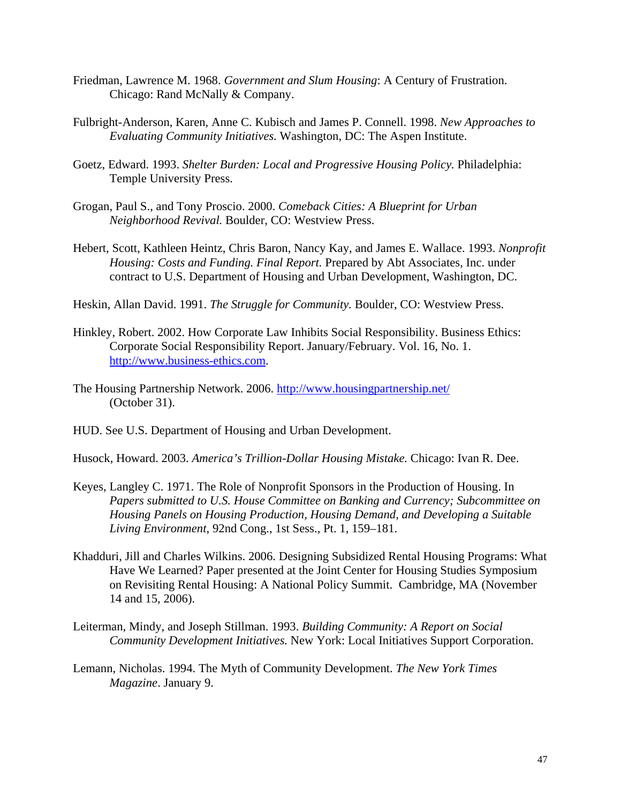- Friedman, Lawrence M. 1968. *Government and Slum Housing*: A Century of Frustration. Chicago: Rand McNally & Company.
- Fulbright-Anderson, Karen, Anne C. Kubisch and James P. Connell. 1998. *New Approaches to Evaluating Community Initiatives.* Washington, DC: The Aspen Institute.
- Goetz, Edward. 1993. *Shelter Burden: Local and Progressive Housing Policy.* Philadelphia: Temple University Press.
- Grogan, Paul S., and Tony Proscio. 2000. *Comeback Cities: A Blueprint for Urban Neighborhood Revival.* Boulder, CO: Westview Press.
- Hebert, Scott, Kathleen Heintz, Chris Baron, Nancy Kay, and James E. Wallace. 1993. *Nonprofit Housing: Costs and Funding. Final Report.* Prepared by Abt Associates, Inc. under contract to U.S. Department of Housing and Urban Development, Washington, DC.
- Heskin, Allan David. 1991. *The Struggle for Community.* Boulder, CO: Westview Press.
- Hinkley, Robert. 2002. How Corporate Law Inhibits Social Responsibility. Business Ethics: Corporate Social Responsibility Report. January/February. Vol. 16, No. 1. [http://www.business-ethics.com.](http://www.business-ethics.com/)
- The Housing Partnership Network. 2006.<http://www.housingpartnership.net/> (October 31).
- HUD. See U.S. Department of Housing and Urban Development.
- Husock, Howard. 2003. *America's Trillion-Dollar Housing Mistake.* Chicago: Ivan R. Dee.
- Keyes, Langley C. 1971. The Role of Nonprofit Sponsors in the Production of Housing. In *Papers submitted to U.S. House Committee on Banking and Currency; Subcommittee on Housing Panels on Housing Production, Housing Demand, and Developing a Suitable Living Environment*, 92nd Cong., 1st Sess., Pt. 1, 159–181.
- Khadduri, Jill and Charles Wilkins. 2006. Designing Subsidized Rental Housing Programs: What Have We Learned? Paper presented at the Joint Center for Housing Studies Symposium on Revisiting Rental Housing: A National Policy Summit. Cambridge, MA (November 14 and 15, 2006).
- Leiterman, Mindy, and Joseph Stillman. 1993. *Building Community: A Report on Social Community Development Initiatives.* New York: Local Initiatives Support Corporation.
- Lemann, Nicholas. 1994. The Myth of Community Development. *The New York Times Magazine*. January 9.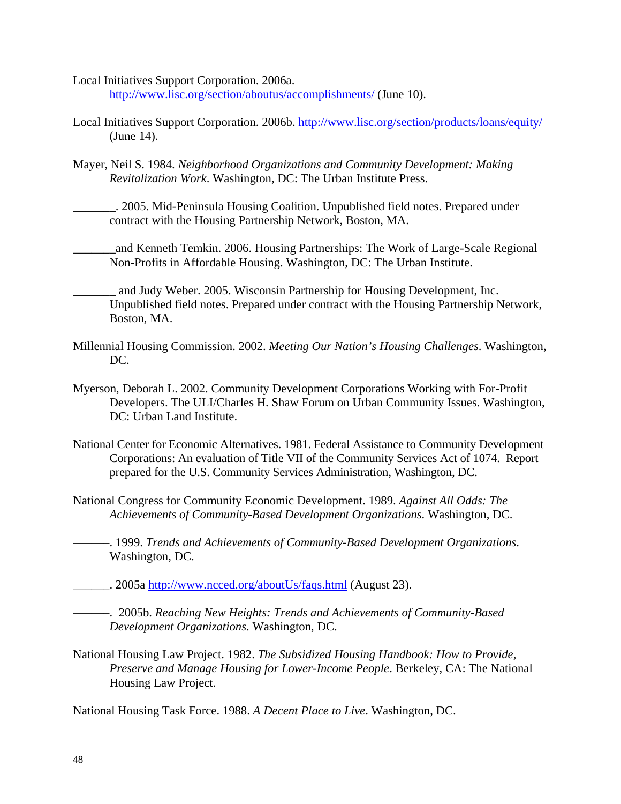Local Initiatives Support Corporation. 2006a.

<http://www.lisc.org/section/aboutus/accomplishments/> (June 10).

- Local Initiatives Support Corporation. 2006b.<http://www.lisc.org/section/products/loans/equity/> (June 14).
- Mayer, Neil S. 1984. *Neighborhood Organizations and Community Development: Making Revitalization Work*. Washington, DC: The Urban Institute Press.

\_\_\_\_\_\_\_. 2005. Mid-Peninsula Housing Coalition. Unpublished field notes. Prepared under contract with the Housing Partnership Network, Boston, MA.

\_\_\_\_\_\_\_and Kenneth Temkin. 2006. Housing Partnerships: The Work of Large-Scale Regional Non-Profits in Affordable Housing. Washington, DC: The Urban Institute.

\_\_\_\_\_\_\_ and Judy Weber. 2005. Wisconsin Partnership for Housing Development, Inc. Unpublished field notes. Prepared under contract with the Housing Partnership Network, Boston, MA.

- Millennial Housing Commission. 2002. *Meeting Our Nation's Housing Challenges*. Washington, DC.
- Myerson, Deborah L. 2002. Community Development Corporations Working with For-Profit Developers. The ULI/Charles H. Shaw Forum on Urban Community Issues. Washington, DC: Urban Land Institute.
- National Center for Economic Alternatives. 1981. Federal Assistance to Community Development Corporations: An evaluation of Title VII of the Community Services Act of 1074. Report prepared for the U.S. Community Services Administration, Washington, DC.
- National Congress for Community Economic Development. 1989. *Against All Odds: The Achievements of Community-Based Development Organizations*. Washington, DC.

––––––. 1999. *Trends and Achievements of Community-Based Development Organizations*. Washington, DC.

\_\_\_\_\_\_. 2005a<http://www.ncced.org/aboutUs/faqs.html>(August 23).

––––––. 2005b. *Reaching New Heights: Trends and Achievements of Community-Based Development Organizations*. Washington, DC.

National Housing Law Project. 1982. *The Subsidized Housing Handbook: How to Provide, Preserve and Manage Housing for Lower-Income People*. Berkeley, CA: The National Housing Law Project.

National Housing Task Force. 1988. *A Decent Place to Live*. Washington, DC.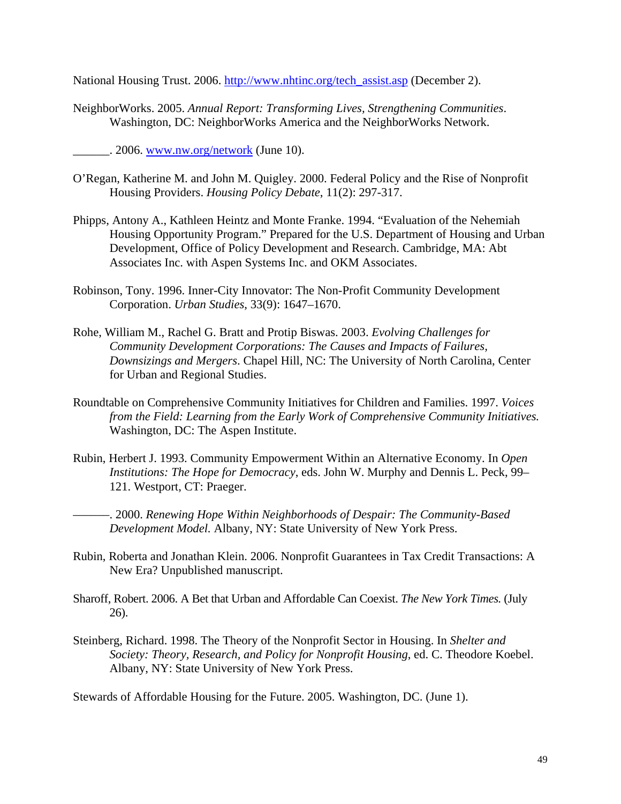National Housing Trust. 2006. [http://www.nhtinc.org/tech\\_assist.asp](http://www.nhtinc.org/tech_assist.asp) (December 2).

NeighborWorks. 2005. *Annual Report: Transforming Lives, Strengthening Communities*. Washington, DC: NeighborWorks America and the NeighborWorks Network.

 $\frac{1}{2006}$ . [www.nw.org/network](http://www.nw.org/network) (June 10).

- O'Regan, Katherine M. and John M. Quigley. 2000. Federal Policy and the Rise of Nonprofit Housing Providers. *Housing Policy Debate*, 11(2): 297-317.
- Phipps, Antony A., Kathleen Heintz and Monte Franke. 1994. "Evaluation of the Nehemiah Housing Opportunity Program." Prepared for the U.S. Department of Housing and Urban Development, Office of Policy Development and Research. Cambridge, MA: Abt Associates Inc. with Aspen Systems Inc. and OKM Associates.
- Robinson, Tony. 1996. Inner-City Innovator: The Non-Profit Community Development Corporation. *Urban Studies*, 33(9): 1647–1670.
- Rohe, William M., Rachel G. Bratt and Protip Biswas. 2003. *Evolving Challenges for Community Development Corporations: The Causes and Impacts of Failures, Downsizings and Mergers*. Chapel Hill, NC: The University of North Carolina, Center for Urban and Regional Studies.
- Roundtable on Comprehensive Community Initiatives for Children and Families. 1997. *Voices from the Field: Learning from the Early Work of Comprehensive Community Initiatives.*  Washington, DC: The Aspen Institute.
- Rubin, Herbert J. 1993. Community Empowerment Within an Alternative Economy. In *Open Institutions: The Hope for Democracy*, eds. John W. Murphy and Dennis L. Peck, 99– 121. Westport, CT: Praeger.

––––––. 2000. *Renewing Hope Within Neighborhoods of Despair: The Community-Based Development Model.* Albany, NY: State University of New York Press.

- Rubin, Roberta and Jonathan Klein. 2006. Nonprofit Guarantees in Tax Credit Transactions: A New Era? Unpublished manuscript.
- Sharoff, Robert. 2006. A Bet that Urban and Affordable Can Coexist. *The New York Times.* (July 26).
- Steinberg, Richard. 1998. The Theory of the Nonprofit Sector in Housing. In *Shelter and Society: Theory, Research, and Policy for Nonprofit Housing*, ed. C. Theodore Koebel. Albany, NY: State University of New York Press.

Stewards of Affordable Housing for the Future. 2005. Washington, DC. (June 1).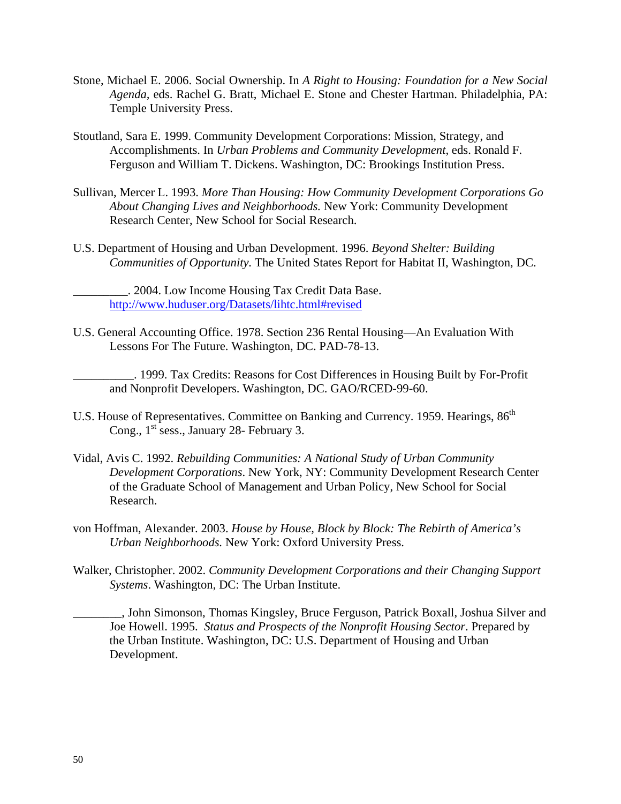- Stone, Michael E. 2006. Social Ownership. In *A Right to Housing: Foundation for a New Social Agenda,* eds. Rachel G. Bratt, Michael E. Stone and Chester Hartman. Philadelphia, PA: Temple University Press.
- Stoutland, Sara E. 1999. Community Development Corporations: Mission, Strategy, and Accomplishments. In *Urban Problems and Community Development*, eds. Ronald F. Ferguson and William T. Dickens. Washington, DC: Brookings Institution Press.
- Sullivan, Mercer L. 1993. *More Than Housing: How Community Development Corporations Go About Changing Lives and Neighborhoods.* New York: Community Development Research Center, New School for Social Research.
- U.S. Department of Housing and Urban Development. 1996. *Beyond Shelter: Building Communities of Opportunity.* The United States Report for Habitat II, Washington, DC.

\_\_\_\_\_\_\_\_\_. 2004. Low Income Housing Tax Credit Data Base. <http://www.huduser.org/Datasets/lihtc.html#revised>

U.S. General Accounting Office. 1978. Section 236 Rental Housing—An Evaluation With Lessons For The Future. Washington, DC. PAD-78-13.

\_\_\_\_\_\_\_\_\_\_. 1999. Tax Credits: Reasons for Cost Differences in Housing Built by For-Profit and Nonprofit Developers. Washington, DC. GAO/RCED-99-60.

- U.S. House of Representatives. Committee on Banking and Currency. 1959. Hearings,  $86<sup>th</sup>$ Cong., 1<sup>st</sup> sess., January 28- February 3.
- Vidal, Avis C. 1992. *Rebuilding Communities: A National Study of Urban Community Development Corporations*. New York, NY: Community Development Research Center of the Graduate School of Management and Urban Policy, New School for Social Research.
- von Hoffman, Alexander. 2003. *House by House, Block by Block: The Rebirth of America's Urban Neighborhoods.* New York: Oxford University Press.
- Walker, Christopher. 2002. *Community Development Corporations and their Changing Support Systems*. Washington, DC: The Urban Institute.

\_\_\_\_\_\_\_\_, John Simonson, Thomas Kingsley, Bruce Ferguson, Patrick Boxall, Joshua Silver and Joe Howell. 1995. *Status and Prospects of the Nonprofit Housing Sector*. Prepared by the Urban Institute. Washington, DC: U.S. Department of Housing and Urban Development.